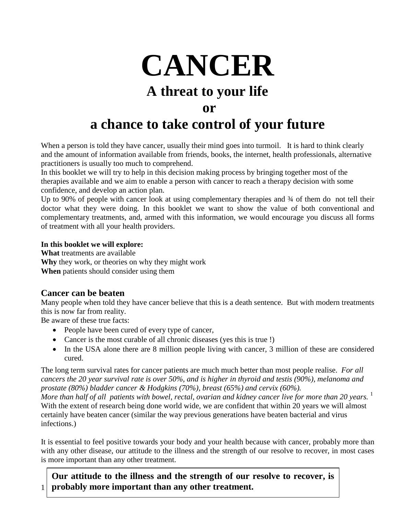

When a person is told they have cancer, usually their mind goes into turmoil. It is hard to think clearly and the amount of information available from friends, books, the internet, health professionals, alternative practitioners is usually too much to comprehend.

In this booklet we will try to help in this decision making process by bringing together most of the therapies available and we aim to enable a person with cancer to reach a therapy decision with some confidence, and develop an action plan.

Up to 90% of people with cancer look at using complementary therapies and  $\frac{3}{4}$  of them do not tell their doctor what they were doing. In this booklet we want to show the value of both conventional and complementary treatments, and, armed with this information, we would encourage you discuss all forms of treatment with all your health providers.

#### **In this booklet we will explore:**

**What** treatments are available **Why** they work, or theories on why they might work **When** patients should consider using them

### **Cancer can be beaten**

Many people when told they have cancer believe that this is a death sentence. But with modern treatments this is now far from reality.

Be aware of these true facts:

- People have been cured of every type of cancer,
- Cancer is the most curable of all chronic diseases (yes this is true !)
- In the USA alone there are 8 million people living with cancer, 3 million of these are considered cured.

The long term survival rates for cancer patients are much much better than most people realise. *For all cancers the 20 year survival rate is over 50%, and is higher in thyroid and testis (90%), melanoma and prostate (80%) bladder cancer & Hodgkins (70%), breast (65%) and cervix (60%).* 

*More than half of all patients with bowel, rectal, ovarian and kidney cancer live for more than 20 years.* <sup>1</sup> With the extent of research being done world wide, we are confident that within 20 years we will almost certainly have beaten cancer (similar the way previous generations have beaten bacterial and virus infections.)

It is essential to feel positive towards your body and your health because with cancer, probably more than with any other disease, our attitude to the illness and the strength of our resolve to recover, in most cases is more important than any other treatment.

1 **probably more important than any other treatment. Our attitude to the illness and the strength of our resolve to recover, is**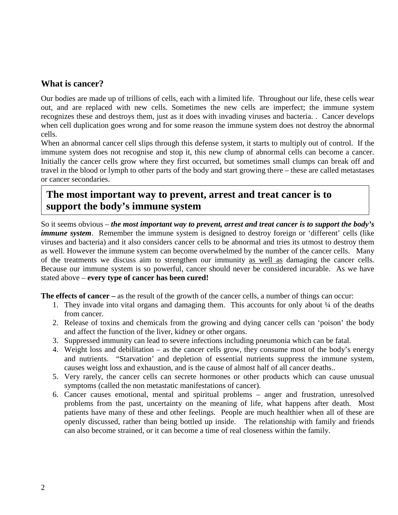### **What is cancer?**

Our bodies are made up of trillions of cells, each with a limited life. Throughout our life, these cells wear out, and are replaced with new cells. Sometimes the new cells are imperfect; the immune system recognizes these and destroys them, just as it does with invading viruses and bacteria. . Cancer develops when cell duplication goes wrong and for some reason the immune system does not destroy the abnormal cells.

When an abnormal cancer cell slips through this defense system, it starts to multiply out of control. If the immune system does not recognise and stop it, this new clump of abnormal cells can become a cancer. Initially the cancer cells grow where they first occurred, but sometimes small clumps can break off and travel in the blood or lymph to other parts of the body and start growing there – these are called metastases or cancer secondaries.

## **The most important way to prevent, arrest and treat cancer is to support the body's immune system**

So it seems obvious – *the most important way to prevent, arrest and treat cancer is to support the body's immune system.* Remember the immune system is designed to destroy foreign or 'different' cells (like viruses and bacteria) and it also considers cancer cells to be abnormal and tries its utmost to destroy them as well. However the immune system can become overwhelmed by the number of the cancer cells. Many of the treatments we discuss aim to strengthen our immunity as well as damaging the cancer cells. Because our immune system is so powerful, cancer should never be considered incurable. As we have stated above – **every type of cancer has been cured!**

**The effects of cancer –** as the result of the growth of the cancer cells, a number of things can occur:

- 1. They invade into vital organs and damaging them. This accounts for only about ¼ of the deaths from cancer.
- 2. Release of toxins and chemicals from the growing and dying cancer cells can 'poison' the body and affect the function of the liver, kidney or other organs.
- 3. Suppressed immunity can lead to severe infections including pneumonia which can be fatal.
- 4. Weight loss and debilitation as the cancer cells grow, they consume most of the body's energy and nutrients. "Starvation' and depletion of essential nutrients suppress the immune system, causes weight loss and exhaustion, and is the cause of almost half of all cancer deaths..
- 5. Very rarely, the cancer cells can secrete hormones or other products which can cause unusual symptoms (called the non metastatic manifestations of cancer).
- 6. Cancer causes emotional, mental and spiritual problems anger and frustration, unresolved problems from the past, uncertainty on the meaning of life, what happens after death. Most patients have many of these and other feelings. People are much healthier when all of these are openly discussed, rather than being bottled up inside. The relationship with family and friends can also become strained, or it can become a time of real closeness within the family.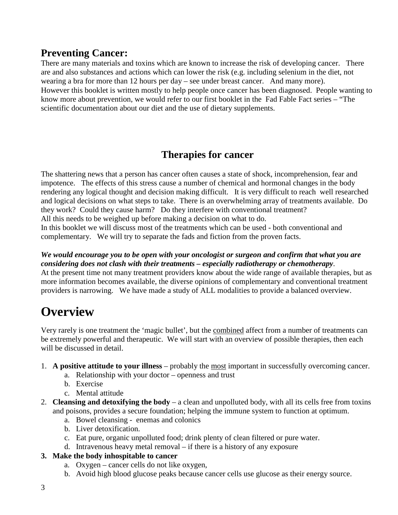## **Preventing Cancer:**

There are many materials and toxins which are known to increase the risk of developing cancer. There are and also substances and actions which can lower the risk (e.g. including selenium in the diet, not wearing a bra for more than 12 hours per day – see under breast cancer. And many more). However this booklet is written mostly to help people once cancer has been diagnosed. People wanting to know more about prevention, we would refer to our first booklet in the Fad Fable Fact series – "The scientific documentation about our diet and the use of dietary supplements.

## **Therapies for cancer**

The shattering news that a person has cancer often causes a state of shock, incomprehension, fear and impotence. The effects of this stress cause a number of chemical and hormonal changes in the body rendering any logical thought and decision making difficult. It is very difficult to reach well researched and logical decisions on what steps to take. There is an overwhelming array of treatments available. Do they work? Could they cause harm? Do they interfere with conventional treatment? All this needs to be weighed up before making a decision on what to do.

In this booklet we will discuss most of the treatments which can be used - both conventional and complementary. We will try to separate the fads and fiction from the proven facts.

*We would encourage you to be open with your oncologist or surgeon and confirm that what you are considering does not clash with their treatments – especially radiotherapy or chemotherapy*. At the present time not many treatment providers know about the wide range of available therapies, but as more information becomes available, the diverse opinions of complementary and conventional treatment providers is narrowing. We have made a study of ALL modalities to provide a balanced overview.

# **Overview**

Very rarely is one treatment the 'magic bullet', but the combined affect from a number of treatments can be extremely powerful and therapeutic. We will start with an overview of possible therapies, then each will be discussed in detail.

- 1. **A positive attitude to your illness** probably the most important in successfully overcoming cancer.
	- a. Relationship with your doctor openness and trust
	- b. Exercise
	- c. Mental attitude
- 2. **Cleansing and detoxifying the body** a clean and unpolluted body, with all its cells free from toxins and poisons, provides a secure foundation; helping the immune system to function at optimum.
	- a. Bowel cleansing enemas and colonics
	- b. Liver detoxification.
	- c. Eat pure, organic unpolluted food; drink plenty of clean filtered or pure water.
	- d. Intravenous heavy metal removal if there is a history of any exposure
- **3. Make the body inhospitable to cancer**
	- a. Oxygen cancer cells do not like oxygen,
	- b. Avoid high blood glucose peaks because cancer cells use glucose as their energy source.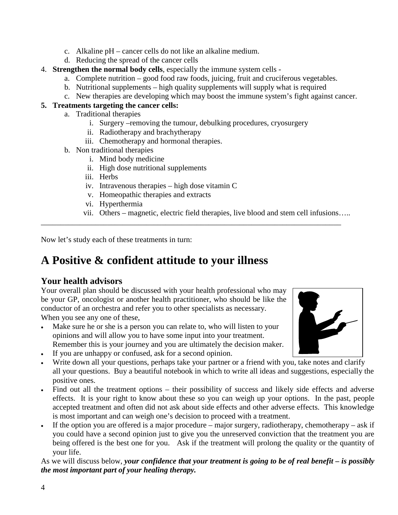- c. Alkaline pH cancer cells do not like an alkaline medium.
- d. Reducing the spread of the cancer cells
- 4. **Strengthen the normal body cells**, especially the immune system cells
	- a. Complete nutrition good food raw foods, juicing, fruit and cruciferous vegetables.
	- b. Nutritional supplements high quality supplements will supply what is required
	- c. New therapies are developing which may boost the immune system's fight against cancer.

#### **5. Treatments targeting the cancer cells:**

- a. Traditional therapies
	- i. Surgery –removing the tumour, debulking procedures, cryosurgery

\_\_\_\_\_\_\_\_\_\_\_\_\_\_\_\_\_\_\_\_\_\_\_\_\_\_\_\_\_\_\_\_\_\_\_\_\_\_\_\_\_\_\_\_\_\_\_\_\_\_\_\_\_\_\_\_\_\_\_\_\_\_\_\_\_\_\_\_\_\_\_\_\_\_\_\_\_

- ii. Radiotherapy and brachytherapy
- iii. Chemotherapy and hormonal therapies.
- b. Non traditional therapies
	- i. Mind body medicine
	- ii. High dose nutritional supplements
	- iii. Herbs
	- iv. Intravenous therapies high dose vitamin C
	- v. Homeopathic therapies and extracts
	- vi. Hyperthermia
	- vii. Others magnetic, electric field therapies, live blood and stem cell infusions…..

Now let's study each of these treatments in turn:

## **A Positive & confident attitude to your illness**

### **Your health advisors**

Your overall plan should be discussed with your health professional who may be your GP, oncologist or another health practitioner, who should be like the conductor of an orchestra and refer you to other specialists as necessary. When you see any one of these,

- Make sure he or she is a person you can relate to, who will listen to your opinions and will allow you to have some input into your treatment. Remember this is your journey and you are ultimately the decision maker.
- If you are unhappy or confused, ask for a second opinion.
- Write down all your questions, perhaps take your partner or a friend with you, take notes and clarify all your questions. Buy a beautiful notebook in which to write all ideas and suggestions, especially the positive ones.
- Find out all the treatment options their possibility of success and likely side effects and adverse effects. It is your right to know about these so you can weigh up your options. In the past, people accepted treatment and often did not ask about side effects and other adverse effects. This knowledge is most important and can weigh one's decision to proceed with a treatment.
- If the option you are offered is a major procedure major surgery, radiotherapy, chemotherapy ask if you could have a second opinion just to give you the unreserved conviction that the treatment you are being offered is the best one for you. Ask if the treatment will prolong the quality or the quantity of your life.

As we will discuss below, *your confidence that your treatment is going to be of real benefit – is possibly the most important part of your healing therapy.*

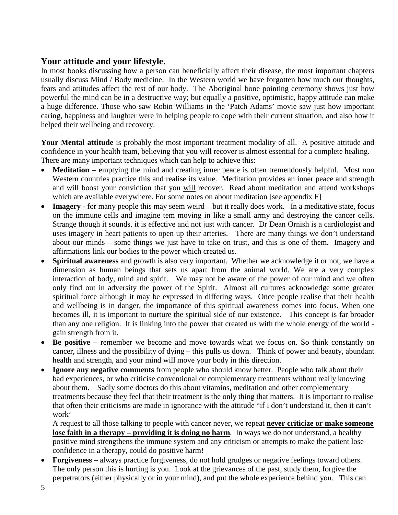### **Your attitude and your lifestyle.**

In most books discussing how a person can beneficially affect their disease, the most important chapters usually discuss Mind / Body medicine. In the Western world we have forgotten how much our thoughts, fears and attitudes affect the rest of our body. The Aboriginal bone pointing ceremony shows just how powerful the mind can be in a destructive way; but equally a positive, optimistic, happy attitude can make a huge difference. Those who saw Robin Williams in the 'Patch Adams' movie saw just how important caring, happiness and laughter were in helping people to cope with their current situation, and also how it helped their wellbeing and recovery.

**Your Mental attitude** is probably the most important treatment modality of all. A positive attitude and confidence in your health team, believing that you will recover is almost essential for a complete healing. There are many important techniques which can help to achieve this:

- **Meditation** emptying the mind and creating inner peace is often tremendously helpful. Most non Western countries practice this and realise its value. Meditation provides an inner peace and strength and will boost your conviction that you will recover. Read about meditation and attend workshops which are available everywhere. For some notes on about meditation [see appendix F]
- **Imagery** for many people this may seem weird but it really does work. In a meditative state, focus on the immune cells and imagine tem moving in like a small army and destroying the cancer cells. Strange though it sounds, it is effective and not just with cancer. Dr Dean Ornish is a cardiologist and uses imagery in heart patients to open up their arteries. There are many things we don't understand about our minds – some things we just have to take on trust, and this is one of them. Imagery and affirmations link our bodies to the power which created us.
- **Spiritual awareness** and growth is also very important. Whether we acknowledge it or not, we have a dimension as human beings that sets us apart from the animal world. We are a very complex interaction of body, mind and spirit. We may not be aware of the power of our mind and we often only find out in adversity the power of the Spirit. Almost all cultures acknowledge some greater spiritual force although it may be expressed in differing ways. Once people realise that their health and wellbeing is in danger, the importance of this spiritual awareness comes into focus. When one becomes ill, it is important to nurture the spiritual side of our existence. This concept is far broader than any one religion. It is linking into the power that created us with the whole energy of the world gain strength from it.
- **Be positive –** remember we become and move towards what we focus on. So think constantly on cancer, illness and the possibility of dying – this pulls us down. Think of power and beauty, abundant health and strength, and your mind will move your body in this direction.
- **Ignore any negative comments** from people who should know better. People who talk about their bad experiences, or who criticise conventional or complementary treatments without really knowing about them. Sadly some doctors do this about vitamins, meditation and other complementary treatments because they feel that their treatment is the only thing that matters. It is important to realise that often their criticisms are made in ignorance with the attitude "if I don't understand it, then it can't work'

A request to all those talking to people with cancer never, we repeat **never criticize or make someone lose faith in a therapy – providing it is doing no harm**. In ways we do not understand, a healthy positive mind strengthens the immune system and any criticism or attempts to make the patient lose confidence in a therapy, could do positive harm!

• **Forgiveness –** always practice forgiveness, do not hold grudges or negative feelings toward others. The only person this is hurting is you. Look at the grievances of the past, study them, forgive the perpetrators (either physically or in your mind), and put the whole experience behind you. This can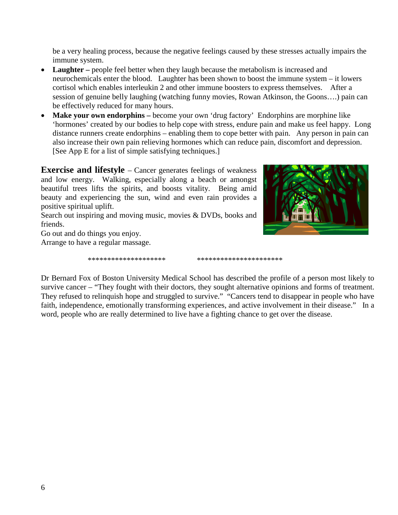be a very healing process, because the negative feelings caused by these stresses actually impairs the immune system.

- **Laughter** people feel better when they laugh because the metabolism is increased and neurochemicals enter the blood. Laughter has been shown to boost the immune system – it lowers cortisol which enables interleukin 2 and other immune boosters to express themselves. After a session of genuine belly laughing (watching funny movies, Rowan Atkinson, the Goons….) pain can be effectively reduced for many hours.
- **Make your own endorphins** become your own 'drug factory' Endorphins are morphine like 'hormones' created by our bodies to help cope with stress, endure pain and make us feel happy. Long distance runners create endorphins – enabling them to cope better with pain. Any person in pain can also increase their own pain relieving hormones which can reduce pain, discomfort and depression. [See App E for a list of simple satisfying techniques.]

**Exercise and lifestyle** – Cancer generates feelings of weakness and low energy. Walking, especially along a beach or amongst beautiful trees lifts the spirits, and boosts vitality. Being amid beauty and experiencing the sun, wind and even rain provides a positive spiritual uplift.

Search out inspiring and moving music, movies & DVDs, books and friends.

Go out and do things you enjoy.

Arrange to have a regular massage.

\*\*\*\*\*\*\*\*\*\*\*\*\*\*\*\*\*\*\*\* \*\*\*\*\*\*\*\*\*\*\*\*\*\*\*\*\*\*\*\*\*\*

Dr Bernard Fox of Boston University Medical School has described the profile of a person most likely to survive cancer – "They fought with their doctors, they sought alternative opinions and forms of treatment. They refused to relinquish hope and struggled to survive." "Cancers tend to disappear in people who have faith, independence, emotionally transforming experiences, and active involvement in their disease." In a word, people who are really determined to live have a fighting chance to get over the disease.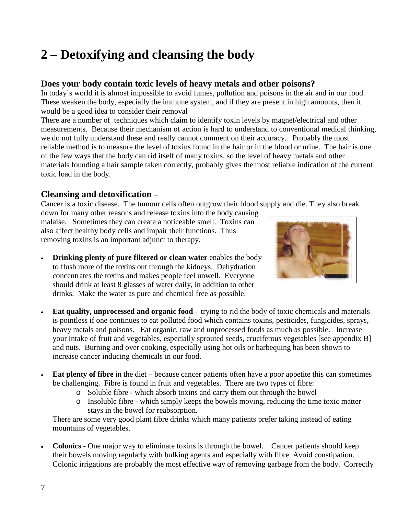# **2 – Detoxifying and cleansing the body**

### **Does your body contain toxic levels of heavy metals and other poisons?**

In today's world it is almost impossible to avoid fumes, pollution and poisons in the air and in our food. These weaken the body, especially the immune system, and if they are present in high amounts, then it would be a good idea to consider their removal

There are a number of techniques which claim to identify toxin levels by magnet/electrical and other measurements. Because their mechanism of action is hard to understand to conventional medical thinking, we do not fully understand these and really cannot comment on their accuracy. Probably the most reliable method is to measure the level of toxins found in the hair or in the blood or urine. The hair is one of the few ways that the body can rid itself of many toxins, so the level of heavy metals and other materials founding a hair sample taken correctly, probably gives the most reliable indication of the current toxic load in the body.

### **Cleansing and detoxification** –

Cancer is a toxic disease. The tumour cells often outgrow their blood supply and die. They also break

down for many other reasons and release toxins into the body causing malaise. Sometimes they can create a noticeable smell. Toxins can also affect healthy body cells and impair their functions. Thus removing toxins is an important adjunct to therapy.

• **Drinking plenty of pure filtered or clean water** enables the body to flush more of the toxins out through the kidneys. Dehydration concentrates the toxins and makes people feel unwell. Everyone should drink at least 8 glasses of water daily, in addition to other drinks. Make the water as pure and chemical free as possible.



- **Eat quality, unprocessed and organic food** trying to rid the body of toxic chemicals and materials is pointless if one continues to eat polluted food which contains toxins, pesticides, fungicides, sprays, heavy metals and poisons. Eat organic, raw and unprocessed foods as much as possible. Increase your intake of fruit and vegetables, especially sprouted seeds, cruciferous vegetables [see appendix B] and nuts. Burning and over cooking, especially using hot oils or barbequing has been shown to increase cancer inducing chemicals in our food.
- **Eat plenty of fibre** in the diet because cancer patients often have a poor appetite this can sometimes be challenging. Fibre is found in fruit and vegetables. There are two types of fibre:
	- o Soluble fibre which absorb toxins and carry them out through the bowel
	- o Insoluble fibre which simply keeps the bowels moving, reducing the time toxic matter stays in the bowel for reabsorption.

There are some very good plant fibre drinks which many patients prefer taking instead of eating mountains of vegetables.

• **Colonics** - One major way to eliminate toxins is through the bowel. Cancer patients should keep their bowels moving regularly with bulking agents and especially with fibre. Avoid constipation. Colonic irrigations are probably the most effective way of removing garbage from the body. Correctly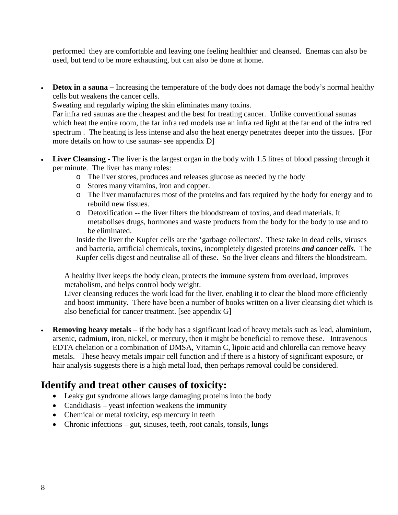performed they are comfortable and leaving one feeling healthier and cleansed. Enemas can also be used, but tend to be more exhausting, but can also be done at home.

**Detox in a sauna** – Increasing the temperature of the body does not damage the body's normal healthy cells but weakens the cancer cells.

Sweating and regularly wiping the skin eliminates many toxins.

Far infra red saunas are the cheapest and the best for treating cancer. Unlike conventional saunas which heat the entire room, the far infra red models use an infra red light at the far end of the infra red spectrum . The heating is less intense and also the heat energy penetrates deeper into the tissues. [For more details on how to use saunas- see appendix D]

- **Liver Cleansing** The liver is the largest organ in the body with 1.5 litres of blood passing through it per minute. The liver has many roles:
	- o The liver stores, produces and releases glucose as needed by the body
	- o Stores many vitamins, iron and copper.
	- o The liver manufactures most of the proteins and fats required by the body for energy and to rebuild new tissues.
	- o Detoxification -- the liver filters the bloodstream of toxins, and dead materials. It metabolises drugs, hormones and waste products from the body for the body to use and to be eliminated.

Inside the liver the Kupfer cells are the 'garbage collectors'. These take in dead cells, viruses and bacteria, artificial chemicals, toxins, incompletely digested proteins *and cancer cells.* The Kupfer cells digest and neutralise all of these. So the liver cleans and filters the bloodstream.

A healthy liver keeps the body clean, protects the immune system from overload, improves metabolism, and helps control body weight.

Liver cleansing reduces the work load for the liver, enabling it to clear the blood more efficiently and boost immunity. There have been a number of books written on a liver cleansing diet which is also beneficial for cancer treatment. [see appendix G]

• **Removing heavy metals** – if the body has a significant load of heavy metals such as lead, aluminium, arsenic, cadmium, iron, nickel, or mercury, then it might be beneficial to remove these. Intravenous EDTA chelation or a combination of DMSA, Vitamin C, lipoic acid and chlorella can remove heavy metals. These heavy metals impair cell function and if there is a history of significant exposure, or hair analysis suggests there is a high metal load, then perhaps removal could be considered.

## **Identify and treat other causes of toxicity:**

- Leaky gut syndrome allows large damaging proteins into the body
- Candidiasis yeast infection weakens the immunity
- Chemical or metal toxicity, esp mercury in teeth
- Chronic infections gut, sinuses, teeth, root canals, tonsils, lungs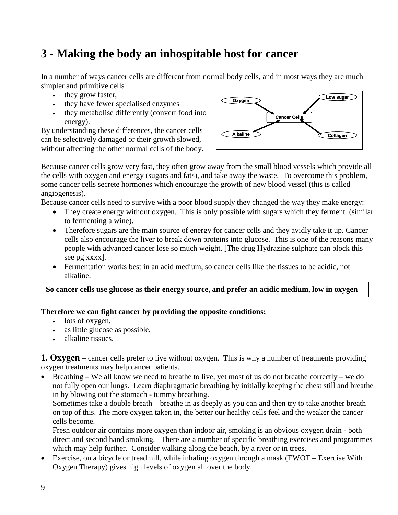## **3 - Making the body an inhospitable host for cancer**

In a number of ways cancer cells are different from normal body cells, and in most ways they are much simpler and primitive cells

- they grow faster,
- they have fewer specialised enzymes
- they metabolise differently (convert food into energy).

By understanding these differences, the cancer cells can be selectively damaged or their growth slowed, without affecting the other normal cells of the body.



Because cancer cells grow very fast, they often grow away from the small blood vessels which provide all the cells with oxygen and energy (sugars and fats), and take away the waste. To overcome this problem, some cancer cells secrete hormones which encourage the growth of new blood vessel (this is called angiogenesis).

Because cancer cells need to survive with a poor blood supply they changed the way they make energy:

- They create energy without oxygen. This is only possible with sugars which they ferment (similar to fermenting a wine).
- Therefore sugars are the main source of energy for cancer cells and they avidly take it up. Cancer cells also encourage the liver to break down proteins into glucose. This is one of the reasons many people with advanced cancer lose so much weight. ]The drug Hydrazine sulphate can block this – see pg xxxx].
- Fermentation works best in an acid medium, so cancer cells like the tissues to be acidic, not alkaline.

**So cancer cells use glucose as their energy source, and prefer an acidic medium, low in oxygen** 

#### **Therefore we can fight cancer by providing the opposite conditions:**

- lots of oxygen,
- as little glucose as possible,
- alkaline tissues.

**1. Oxygen** – cancer cells prefer to live without oxygen. This is why a number of treatments providing oxygen treatments may help cancer patients.

• Breathing – We all know we need to breathe to live, yet most of us do not breathe correctly – we do not fully open our lungs. Learn diaphragmatic breathing by initially keeping the chest still and breathe in by blowing out the stomach - tummy breathing.

Sometimes take a double breath – breathe in as deeply as you can and then try to take another breath on top of this. The more oxygen taken in, the better our healthy cells feel and the weaker the cancer cells become.

Fresh outdoor air contains more oxygen than indoor air, smoking is an obvious oxygen drain - both direct and second hand smoking. There are a number of specific breathing exercises and programmes which may help further. Consider walking along the beach, by a river or in trees.

• Exercise, on a bicycle or treadmill, while inhaling oxygen through a mask (EWOT – Exercise With Oxygen Therapy) gives high levels of oxygen all over the body.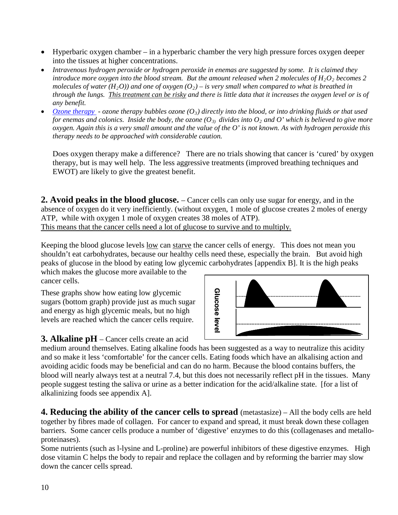- Hyperbaric oxygen chamber in a hyperbaric chamber the very high pressure forces oxygen deeper into the tissues at higher concentrations.
- *Intravenous hydrogen peroxide or hydrogen peroxide in enemas are suggested by some. It is claimed they introduce more oxygen into the blood stream. But the amount released when 2 molecules of*  $H_2O_2$  *becomes 2 molecules of water (H<sub>2</sub>O)) and one of oxygen (O<sub>2</sub>) – <i>is very small when compared to what is breathed in through the lungs. This treatment can be risky and there is little data that it increases the oxygen level or is of any benefit.*
- *[Ozone therapy](http://www.austinozone.com/) - ozone therapy bubbles ozone (O3) directly into the blood, or into drinking fluids or that used for enemas and colonics. Inside the body, the ozone*  $(O_3)$  *divides into*  $O_2$  *and*  $O'$  *which is believed to give more oxygen. Again this is a very small amount and the value of the O' is not known. As with hydrogen peroxide this therapy needs to be approached with considerable caution.*

Does oxygen therapy make a difference? There are no trials showing that cancer is 'cured' by oxygen therapy, but is may well help. The less aggressive treatments (improved breathing techniques and EWOT) are likely to give the greatest benefit.

**2. Avoid peaks in the blood glucose.** – Cancer cells can only use sugar for energy, and in the absence of oxygen do it very inefficiently. (without oxygen, 1 mole of glucose creates 2 moles of energy ATP, while with oxygen 1 mole of oxygen creates 38 moles of ATP). This means that the cancer cells need a lot of glucose to survive and to multiply.

Keeping the blood glucose levels low can starve the cancer cells of energy. This does not mean you shouldn't eat carbohydrates, because our healthy cells need these, especially the brain. But avoid high peaks of glucose in the blood by eating low glycemic carbohydrates [appendix B]. It is the high peaks

which makes the glucose more available to the cancer cells.

These graphs show how eating low glycemic sugars (bottom graph) provide just as much sugar and energy as high glycemic meals, but no high levels are reached which the cancer cells require.

Glucose leve **Glucose level**

**3. Alkaline pH** – Cancer cells create an acid

medium around themselves. Eating alkaline foods has been suggested as a way to neutralize this acidity and so make it less 'comfortable' for the cancer cells. Eating foods which have an alkalising action and avoiding acidic foods may be beneficial and can do no harm. Because the blood contains buffers, the blood will nearly always test at a neutral 7.4, but this does not necessarily reflect pH in the tissues. Many people suggest testing the saliva or urine as a better indication for the acid/alkaline state. [for a list of alkalinizing foods see appendix A].

**4. Reducing the ability of the cancer cells to spread** (metastasize) – All the body cells are held together by fibres made of collagen. For cancer to expand and spread, it must break down these collagen barriers. Some cancer cells produce a number of 'digestive' enzymes to do this (collagenases and metalloproteinases).

Some nutrients (such as l-lysine and L-proline) are powerful inhibitors of these digestive enzymes. High dose vitamin C helps the body to repair and replace the collagen and by reforming the barrier may slow down the cancer cells spread.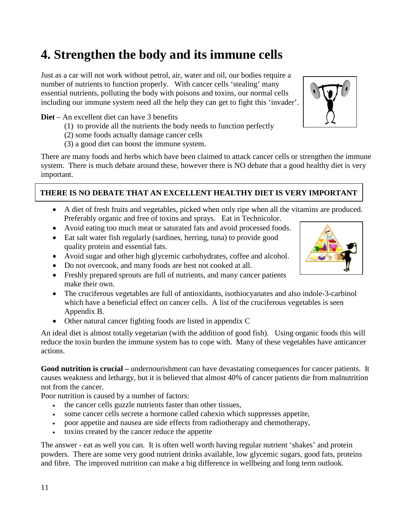# **4. Strengthen the body and its immune cells**

Just as a car will not work without petrol, air, water and oil, our bodies require a number of nutrients to function properly. With cancer cells 'stealing' many essential nutrients, polluting the body with poisons and toxins, our normal cells including our immune system need all the help they can get to fight this 'invader'.

#### **Diet** – An excellent diet can have 3 benefits

- (1) to provide all the nutrients the body needs to function perfectly
- (2) some foods actually damage cancer cells
- (3) a good diet can boost the immune system.

There are many foods and herbs which have been claimed to attack cancer cells or strengthen the immune system. There is much debate around these, however there is NO debate that a good healthy diet is very important.

### **THERE IS NO DEBATE THAT AN EXCELLENT HEALTHY DIET IS VERY IMPORTANT**

- A diet of fresh fruits and vegetables, picked when only ripe when all the vitamins are produced. Preferably organic and free of toxins and sprays. Eat in Technicolor.
- Avoid eating too much meat or saturated fats and avoid processed foods.
- Eat salt water fish regularly (sardines, herring, tuna) to provide good quality protein and essential fats.
- Avoid sugar and other high glycemic carbohydrates, coffee and alcohol.
- Do not overcook, and many foods are best not cooked at all.
- Freshly prepared sprouts are full of nutrients, and many cancer patients make their own.
- The cruciferous vegetables are full of antioxidants, isothiocyanates and also indole-3-carbinol which have a beneficial effect on cancer cells. A list of the cruciferous vegetables is seen Appendix B.
- Other natural cancer fighting foods are listed in appendix C

. An ideal diet is almost totally vegetarian (with the addition of good fish). Using organic foods this will reduce the toxin burden the immune system has to cope with. Many of these vegetables have anticancer actions.

**Good nutrition is crucial –** undernourishment can have devastating consequences for cancer patients. It causes weakness and lethargy, but it is believed that almost 40% of cancer patients die from malnutrition not from the cancer.

Poor nutrition is caused by a number of factors:

- the cancer cells guzzle nutrients faster than other tissues,
- some cancer cells secrete a hormone called cahexin which suppresses appetite,
- poor appetite and nausea are side effects from radiotherapy and chemotherapy,
- toxins created by the cancer reduce the appetite

The answer - eat as well you can. It is often well worth having regular nutrient 'shakes' and protein powders. There are some very good nutrient drinks available, low glycemic sugars, good fats, proteins and fibre. The improved nutrition can make a big difference in wellbeing and long term outlook.

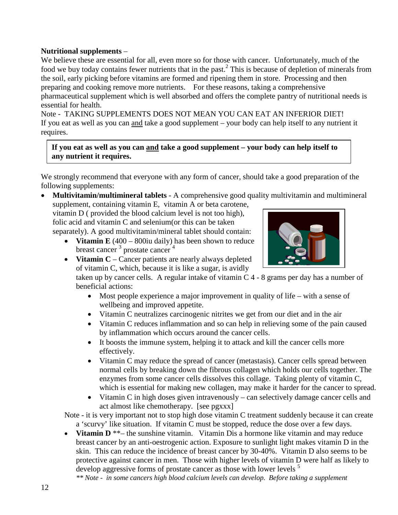#### **Nutritional supplements** –

We believe these are essential for all, even more so for those with cancer. Unfortunately, much of the food we buy today contains fewer nutrients that in the past.<sup>2</sup> This is because of depletion of minerals from the soil, early picking before vitamins are formed and ripening them in store. Processing and then preparing and cooking remove more nutrients. For these reasons, taking a comprehensive pharmaceutical supplement which is well absorbed and offers the complete pantry of nutritional needs is essential for health.

Note - TAKING SUPPLEMENTS DOES NOT MEAN YOU CAN EAT AN INFERIOR DIET! If you eat as well as you can and take a good supplement – your body can help itself to any nutrient it requires.

**If you eat as well as you can and take a good supplement – your body can help itself to any nutrient it requires.** 

We strongly recommend that everyone with any form of cancer, should take a good preparation of the following supplements:

• **Multivitamin/multimineral tablets** - A comprehensive good quality multivitamin and multimineral supplement, containing vitamin E, vitamin A or beta carotene,

vitamin D ( provided the blood calcium level is not too high), folic acid and vitamin C and selenium(or this can be taken separately). A good multivitamin/mineral tablet should contain:

• **Vitamin E** (400 – 800iu daily) has been shown to reduce breast cancer  $3$  prostate cancer  $4$ 



• **Vitamin C** – Cancer patients are nearly always depleted of vitamin C, which, because it is like a sugar, is avidly

taken up by cancer cells. A regular intake of vitamin C 4 - 8 grams per day has a number of beneficial actions:

- Most people experience a major improvement in quality of life with a sense of wellbeing and improved appetite.
- Vitamin C neutralizes carcinogenic nitrites we get from our diet and in the air
- Vitamin C reduces inflammation and so can help in relieving some of the pain caused by inflammation which occurs around the cancer cells.
- It boosts the immune system, helping it to attack and kill the cancer cells more effectively.
- Vitamin C may reduce the spread of cancer (metastasis). Cancer cells spread between normal cells by breaking down the fibrous collagen which holds our cells together. The enzymes from some cancer cells dissolves this collage. Taking plenty of vitamin C, which is essential for making new collagen, may make it harder for the cancer to spread.
- Vitamin C in high doses given intravenously can selectively damage cancer cells and act almost like chemotherapy. [see pgxxx]

Note - it is very important not to stop high dose vitamin C treatment suddenly because it can create a 'scurvy' like situation. If vitamin C must be stopped, reduce the dose over a few days.

**Vitamin D** \*\*– the sunshine vitamin. Vitamin Dis a hormone like vitamin and may reduce breast cancer by an anti-oestrogenic action. Exposure to sunlight light makes vitamin D in the skin. This can reduce the incidence of breast cancer by 30-40%. Vitamin D also seems to be protective against cancer in men. Those with higher levels of vitamin D were half as likely to develop aggressive forms of prostate cancer as those with lower levels<sup>5</sup>

*\*\* Note - in some cancers high blood calcium levels can develop. Before taking a supplement*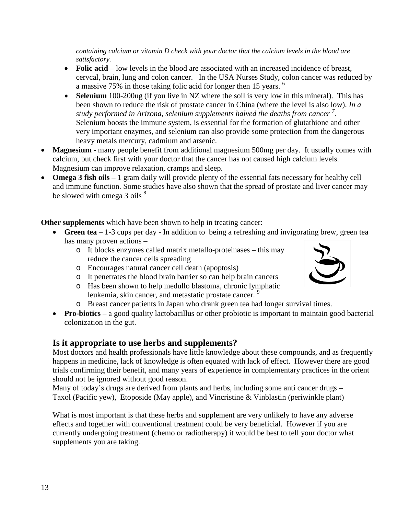*containing calcium or vitamin D check with your doctor that the calcium levels in the blood are satisfactory.* 

- **Folic acid** low levels in the blood are associated with an increased incidence of breast, cervcal, brain, lung and colon cancer. In the USA Nurses Study, colon cancer was reduced by a massive 75% in those taking folic acid for longer then 15 years. <sup>6</sup>
- **Selenium** 100-200ug (if you live in NZ where the soil is very low in this mineral). This has been shown to reduce the risk of prostate cancer in China (where the level is also low). *In a study performed in Arizona, selenium supplements halved the deaths from cancer <sup>7</sup> .* Selenium boosts the immune system, is essential for the formation of glutathione and other very important enzymes, and selenium can also provide some protection from the dangerous heavy metals mercury, cadmium and arsenic.
- **Magnesium** many people benefit from additional magnesium 500mg per day. It usually comes with calcium, but check first with your doctor that the cancer has not caused high calcium levels. Magnesium can improve relaxation, cramps and sleep.
- **Omega 3 fish oils** 1 gram daily will provide plenty of the essential fats necessary for healthy cell and immune function. Some studies have also shown that the spread of prostate and liver cancer may be slowed with omega  $3$  oils  $8$

**Other supplements** which have been shown to help in treating cancer:

- **Green tea** 1-3 cups per day In addition to being a refreshing and invigorating brew, green tea has many proven actions –
	- o It blocks enzymes called matrix metallo-proteinases this may reduce the cancer cells spreading
	- o Encourages natural cancer cell death (apoptosis)
	- o It penetrates the blood brain barrier so can help brain cancers
	- o Has been shown to help medullo blastoma, chronic lymphatic leukemia, skin cancer, and metastatic prostate cancer.
	- o Breast cancer patients in Japan who drank green tea had longer survival times.
- **Pro-biotics** a good quality lactobacillus or other probiotic is important to maintain good bacterial colonization in the gut.

## **Is it appropriate to use herbs and supplements?**

Most doctors and health professionals have little knowledge about these compounds, and as frequently happens in medicine, lack of knowledge is often equated with lack of effect. However there are good trials confirming their benefit, and many years of experience in complementary practices in the orient should not be ignored without good reason.

Many of today's drugs are derived from plants and herbs, including some anti cancer drugs – Taxol (Pacific yew), Etoposide (May apple), and Vincristine & Vinblastin (periwinkle plant)

What is most important is that these herbs and supplement are very unlikely to have any adverse effects and together with conventional treatment could be very beneficial. However if you are currently undergoing treatment (chemo or radiotherapy) it would be best to tell your doctor what supplements you are taking.

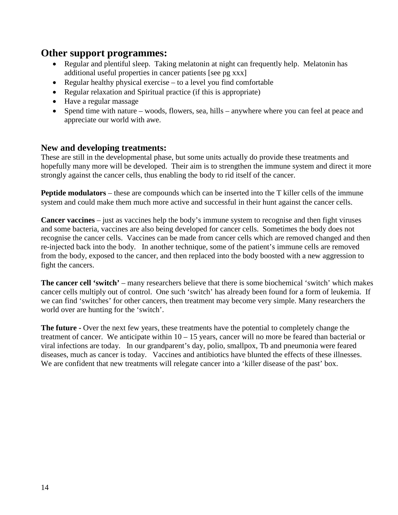## **Other support programmes:**

- Regular and plentiful sleep. Taking melatonin at night can frequently help. Melatonin has additional useful properties in cancer patients [see pg xxx]
- Regular healthy physical exercise to a level you find comfortable
- Regular relaxation and Spiritual practice (if this is appropriate)
- Have a regular massage
- Spend time with nature woods, flowers, sea, hills anywhere where you can feel at peace and appreciate our world with awe.

### **New and developing treatments:**

These are still in the developmental phase, but some units actually do provide these treatments and hopefully many more will be developed. Their aim is to strengthen the immune system and direct it more strongly against the cancer cells, thus enabling the body to rid itself of the cancer.

**Peptide modulators** – these are compounds which can be inserted into the T killer cells of the immune system and could make them much more active and successful in their hunt against the cancer cells.

**Cancer vaccines** – just as vaccines help the body's immune system to recognise and then fight viruses and some bacteria, vaccines are also being developed for cancer cells. Sometimes the body does not recognise the cancer cells. Vaccines can be made from cancer cells which are removed changed and then re-injected back into the body. In another technique, some of the patient's immune cells are removed from the body, exposed to the cancer, and then replaced into the body boosted with a new aggression to fight the cancers.

**The cancer cell 'switch'** – many researchers believe that there is some biochemical 'switch' which makes cancer cells multiply out of control. One such 'switch' has already been found for a form of leukemia. If we can find 'switches' for other cancers, then treatment may become very simple. Many researchers the world over are hunting for the 'switch'.

**The future -** Over the next few years, these treatments have the potential to completely change the treatment of cancer. We anticipate within 10 – 15 years, cancer will no more be feared than bacterial or viral infections are today. In our grandparent's day, polio, smallpox, Tb and pneumonia were feared diseases, much as cancer is today. Vaccines and antibiotics have blunted the effects of these illnesses. We are confident that new treatments will relegate cancer into a 'killer disease of the past' box.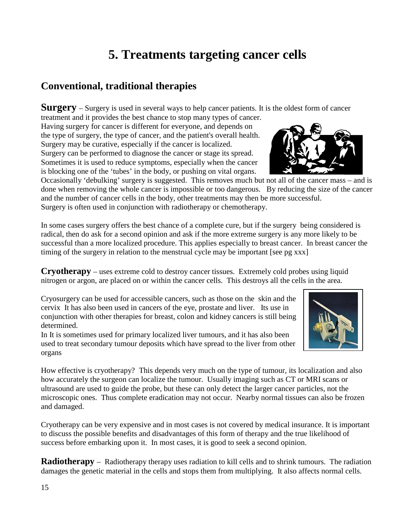# **5. Treatments targeting cancer cells**

## **Conventional, traditional therapies**

**Surgery** – Surgery is used in several ways to help cancer patients. It is the oldest form of cancer

treatment and it provides the best chance to stop many types of cancer. Having surgery for cancer is different for everyone, and depends on the type of surgery, the type of cancer, and the patient's overall health. Surgery may be curative, especially if the cancer is localized. Surgery can be performed to diagnose the cancer or stage its spread. Sometimes it is used to reduce symptoms, especially when the cancer is blocking one of the 'tubes' in the body, or pushing on vital organs.

Occasionally 'debulking' surgery is suggested. This removes much but not all of the cancer mass – and is done when removing the whole cancer is impossible or too dangerous. By reducing the size of the cancer and the number of cancer cells in the body, other treatments may then be more successful. Surgery is often used in conjunction with radiotherapy or chemotherapy.

In some cases surgery offers the best chance of a complete cure, but if the surgery being considered is radical, then do ask for a second opinion and ask if the more extreme surgery is any more likely to be successful than a more localized procedure. This applies especially to breast cancer. In breast cancer the timing of the surgery in relation to the menstrual cycle may be important [see pg xxx]

**Cryotherapy** – uses extreme cold to destroy cancer tissues. Extremely cold probes using liquid nitrogen or argon, are placed on or within the cancer cells. This destroys all the cells in the area.

Cryosurgery can be used for accessible cancers, such as those on the skin and the cervix It has also been used in cancers of the eye, prostate and liver. Its use in conjunction with other therapies for breast, colon and kidney cancers is still being determined.

In It is sometimes used for primary localized liver tumours, and it has also been used to treat secondary tumour deposits which have spread to the liver from other organs

How effective is cryotherapy? This depends very much on the type of tumour, its localization and also how accurately the surgeon can localize the tumour. Usually imaging such as CT or MRI scans or ultrasound are used to guide the probe, but these can only detect the larger cancer particles, not the microscopic ones. Thus complete eradication may not occur. Nearby normal tissues can also be frozen and damaged.

Cryotherapy can be very expensive and in most cases is not covered by medical insurance. It is important to discuss the possible benefits and disadvantages of this form of therapy and the true likelihood of success before embarking upon it. In most cases, it is good to seek a second opinion.

**Radiotherapy** – Radiotherapy therapy uses radiation to kill cells and to shrink tumours. The radiation damages the genetic material in the cells and stops them from multiplying. It also affects normal cells.



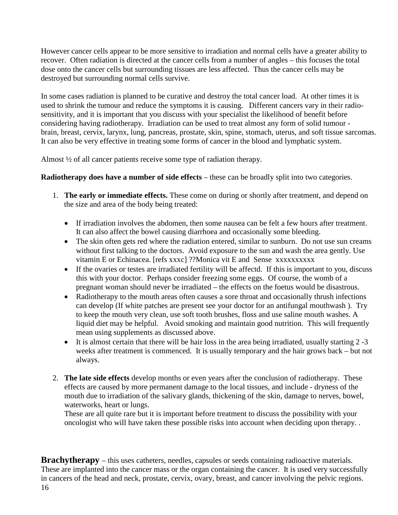However cancer cells appear to be more sensitive to irradiation and normal cells have a greater ability to recover. Often radiation is directed at the cancer cells from a number of angles – this focuses the total dose onto the cancer cells but surrounding tissues are less affected. Thus the cancer cells may be destroyed but surrounding normal cells survive.

In some cases radiation is planned to be curative and destroy the total cancer load. At other times it is used to shrink the tumour and reduce the symptoms it is causing. Different cancers vary in their radiosensitivity, and it is important that you discuss with your specialist the likelihood of benefit before considering having radiotherapy. Irradiation can be used to treat almost any form of solid tumour brain, [breast,](http://cancer.gov/dictionary/db_alpha.aspx?expand=b#breast) [cervix,](http://cancer.gov/dictionary/db_alpha.aspx?expand=c#cervix) [larynx,](http://cancer.gov/dictionary/db_alpha.aspx?expand=l#larynx) [lung,](http://cancer.gov/dictionary/db_alpha.aspx?expand=l#lung) [pancreas,](http://cancer.gov/dictionary/db_alpha.aspx?expand=p#pancreas) [prostate,](http://cancer.gov/dictionary/db_alpha.aspx?expand=p#prostate) skin, spine, [stomach,](http://cancer.gov/dictionary/db_alpha.aspx?expand=s#stomach) [uterus,](http://cancer.gov/dictionary/db_alpha.aspx?expand=u#uterus) and [soft tissue sarcomas.](http://cancer.gov/dictionary/db_alpha.aspx?expand=s#soft%20tissue%20sarcoma) It can also be very effective in treating some forms of cancer in the blood and lymphatic system.

Almost ½ of all cancer patients receive some type of radiation therapy.

#### **Radiotherapy does have a number of side effects** – these can be broadly split into two categories.

- 1. **The early or immediate effects.** These come on during or shortly after treatment, and depend on the size and area of the body being treated:
	- If irradiation involves the abdomen, then some nausea can be felt a few hours after treatment. It can also affect the bowel causing diarrhoea and occasionally some bleeding.
	- The skin often gets red where the radiation entered, similar to sunburn. Do not use sun creams without first talking to the doctors. Avoid exposure to the sun and wash the area gently. Use vitamin E or Echinacea. [refs xxxc] ??Monica vit E and Sense xxxxxxxxxx
	- If the ovaries or testes are irradiated fertility will be affectd. If this is important to you, discuss this with your doctor. Perhaps consider freezing some eggs. Of course, the womb of a pregnant woman should never be irradiated – the effects on the foetus would be disastrous.
	- Radiotherapy to the mouth areas often causes a sore throat and occasionally thrush infections can develop (If white patches are present see your doctor for an antifungal mouthwash ). Try to keep the mouth very clean, use soft tooth brushes, floss and use saline mouth washes. A liquid diet may be helpful. Avoid smoking and maintain good nutrition. This will frequently mean using supplements as discussed above.
	- It is almost certain that there will be hair loss in the area being irradiated, usually starting 2 -3 weeks after treatment is commenced. It is usually temporary and the hair grows back – but not always.
- 2. **The late side effects** develop months or even years after the conclusion of radiotherapy. These effects are caused by more permanent damage to the local tissues, and include - dryness of the mouth due to irradiation of the salivary glands, thickening of the skin, damage to nerves, bowel, waterworks, heart or lungs.

These are all quite rare but it is important before treatment to discuss the possibility with your oncologist who will have taken these possible risks into account when deciding upon therapy. .

**Brachytherapy** – this uses catheters, needles, capsules or seeds containing radioactive materials. These are implanted into the cancer mass or the organ containing the cancer. It is used very successfully in cancers of the head and neck, prostate, cervix, [ovary,](http://cancer.gov/dictionary/db_alpha.aspx?expand=o#ovary) breast, and cancer involving the pelvic regions.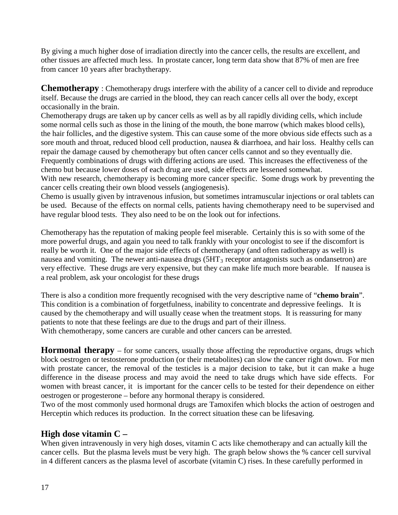By giving a much higher dose of irradiation directly into the cancer cells, the results are excellent, and other tissues are affected much less. In prostate cancer, long term data show that 87% of men are free from cancer 10 years after brachytherapy.

**Chemotherapy** : Chemotherapy drugs interfere with the ability of a cancer cell to divide and reproduce itself. Because the drugs are carried in the blood, they can reach cancer cells all over the body, except occasionally in the brain.

Chemotherapy drugs are taken up by cancer cells as well as by all rapidly dividing cells, which include some normal cells such as those in the lining of the mouth, the bone marrow (which makes blood cells), the hair follicles, and the digestive system. This can cause some of the more obvious side effects such as a sore mouth and throat, reduced blood cell production, nausea & diarrhoea, and hair loss. Healthy cells can repair the damage caused by chemotherapy but often cancer cells cannot and so they eventually die. Frequently combinations of drugs with differing actions are used. This increases the effectiveness of the chemo but because lower doses of each drug are used, side effects are lessened somewhat.

With new research, chemotherapy is becoming more cancer specific. Some drugs work by preventing the cancer cells creating their own blood vessels (angiogenesis).

Chemo is usually given by intravenous infusion, but sometimes intramuscular injections or oral tablets can be used. Because of the effects on normal cells, patients having chemotherapy need to be supervised and have regular blood tests. They also need to be on the look out for infections.

Chemotherapy has the reputation of making people feel miserable. Certainly this is so with some of the more powerful drugs, and again you need to talk frankly with your oncologist to see if the discomfort is really be worth it. One of the major side effects of chemotherapy (and often radiotherapy as well) is nausea and vomiting. The newer anti-nausea drugs  $(5HT_3$  receptor antagonists such as ondansetron) are very effective. These drugs are very expensive, but they can make life much more bearable. If nausea is a real problem, ask your oncologist for these drugs

There is also a condition more frequently recognised with the very descriptive name of "**chemo brain**". This condition is a combination of forgetfulness, inability to concentrate and depressive feelings. It is caused by the chemotherapy and will usually cease when the treatment stops. It is reassuring for many patients to note that these feelings are due to the drugs and part of their illness.

With chemotherapy, some cancers are curable and other cancers can be arrested.

**Hormonal therapy** – for some cancers, usually those affecting the reproductive organs, drugs which block oestrogen or testosterone production (or their metabolites) can slow the cancer right down. For men with prostate cancer, the removal of the testicles is a major decision to take, but it can make a huge difference in the disease process and may avoid the need to take drugs which have side effects. For women with breast cancer, it is important for the cancer cells to be tested for their dependence on either oestrogen or progesterone – before any hormonal therapy is considered.

Two of the most commonly used hormonal drugs are Tamoxifen which blocks the action of oestrogen and Herceptin which reduces its production. In the correct situation these can be lifesaving.

## **High dose vitamin C –**

When given intravenously in very high doses, vitamin C acts like chemotherapy and can actually kill the cancer cells. But the plasma levels must be very high. The graph below shows the % cancer cell survival in 4 different cancers as the plasma level of ascorbate (vitamin C) rises. In these carefully performed in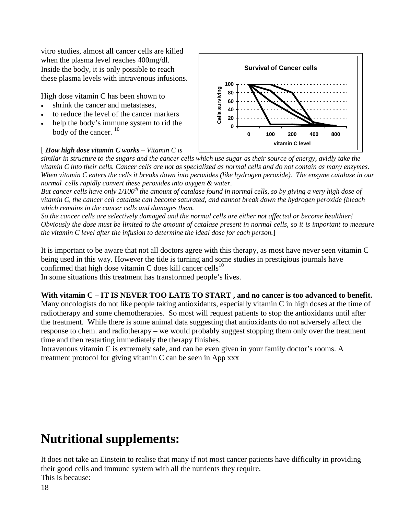vitro studies, almost all cancer cells are killed when the plasma level reaches 400mg/dl. Inside the body, it is only possible to reach these plasma levels with intravenous infusions.

High dose vitamin C has been shown to

- shrink the cancer and metastases.
- to reduce the level of the cancer markers
- help the body's immune system to rid the body of the cancer.  $10$

#### [ *How high dose vitamin C works – Vitamin C is*



*similar in structure to the sugars and the cancer cells which use sugar as their source of energy, avidly take the vitamin C into their cells. Cancer cells are not as specialized as normal cells and do not contain as many enzymes. When vitamin C enters the cells it breaks down into peroxides (like hydrogen peroxide). The enzyme catalase in our normal cells rapidly convert these peroxides into oxygen & water.* 

*But cancer cells have only 1/100th the amount of catalase found in normal cells, so by giving a very high dose of vitamin C, the cancer cell catalase can become saturated, and cannot break down the hydrogen peroxide (bleach which remains in the cancer cells and damages them.* 

*So the cancer cells are selectively damaged and the normal cells are either not affected or become healthier! Obviously the dose must be limited to the amount of catalase present in normal cells, so it is important to measure the vitamin C level after the infusion to determine the ideal dose for each person.*]

It is important to be aware that not all doctors agree with this therapy, as most have never seen vitamin C being used in this way. However the tide is turning and some studies in prestigious journals have confirmed that high dose vitamin C does kill cancer cells<sup>10</sup>

In some situations this treatment has transformed people's lives.

#### **With vitamin C – IT IS NEVER TOO LATE TO START , and no cancer is too advanced to benefit.**

Many oncologists do not like people taking antioxidants, especially vitamin C in high doses at the time of radiotherapy and some chemotherapies. So most will request patients to stop the antioxidants until after the treatment. While there is some animal data suggesting that antioxidants do not adversely affect the response to chem. and radiotherapy – we would probably suggest stopping them only over the treatment time and then restarting immediately the therapy finishes.

Intravenous vitamin C is extremely safe, and can be even given in your family doctor's rooms. A treatment protocol for giving vitamin C can be seen in App xxx

## **Nutritional supplements:**

It does not take an Einstein to realise that many if not most cancer patients have difficulty in providing their good cells and immune system with all the nutrients they require. This is because: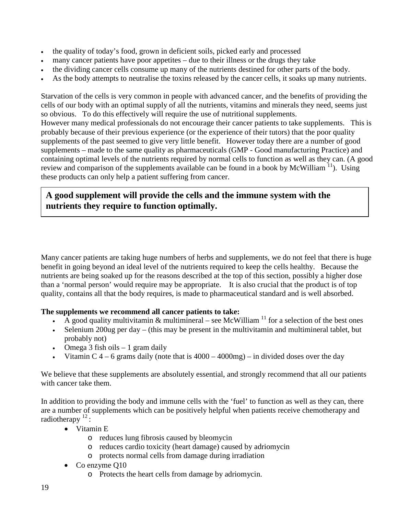- the quality of today's food, grown in deficient soils, picked early and processed
- many cancer patients have poor appetites due to their illness or the drugs they take
- the dividing cancer cells consume up many of the nutrients destined for other parts of the body.
- As the body attempts to neutralise the toxins released by the cancer cells, it soaks up many nutrients.

Starvation of the cells is very common in people with advanced cancer, and the benefits of providing the cells of our body with an optimal supply of all the nutrients, vitamins and minerals they need, seems just so obvious. To do this effectively will require the use of nutritional supplements. However many medical professionals do not encourage their cancer patients to take supplements. This is probably because of their previous experience (or the experience of their tutors) that the poor quality supplements of the past seemed to give very little benefit. However today there are a number of good supplements – made to the same quality as pharmaceuticals (GMP - Good manufacturing Practice) and containing optimal levels of the nutrients required by normal cells to function as well as they can. (A good review and comparison of the supplements available can be found in a book by McWilliam  $\frac{11}{1}$ ). Using these products can only help a patient suffering from cancer.

### **A good supplement will provide the cells and the immune system with the nutrients they require to function optimally.**

Many cancer patients are taking huge numbers of herbs and supplements, we do not feel that there is huge benefit in going beyond an ideal level of the nutrients required to keep the cells healthy. Because the nutrients are being soaked up for the reasons described at the top of this section, possibly a higher dose than a 'normal person' would require may be appropriate. It is also crucial that the product is of top quality, contains all that the body requires, is made to pharmaceutical standard and is well absorbed.

#### **The supplements we recommend all cancer patients to take:**

- A good quality multivitamin & multimineral see McWilliam  $^{11}$  for a selection of the best ones
- Selenium 200ug per day (this may be present in the multivitamin and multimineral tablet, but probably not)
- Omega  $3$  fish oils  $-1$  gram daily
- Vitamin C  $4 6$  grams daily (note that is  $4000 4000$  mg) in divided doses over the day

We believe that these supplements are absolutely essential, and strongly recommend that all our patients with cancer take them.

In addition to providing the body and immune cells with the 'fuel' to function as well as they can, there are a number of supplements which can be positively helpful when patients receive chemotherapy and radiotherapy  $12$ :

- Vitamin E
	- o reduces lung fibrosis caused by bleomycin
	- o reduces cardio toxicity (heart damage) caused by adriomycin
	- o protects normal cells from damage during irradiation
- Co enzyme Q10
	- o Protects the heart cells from damage by adriomycin.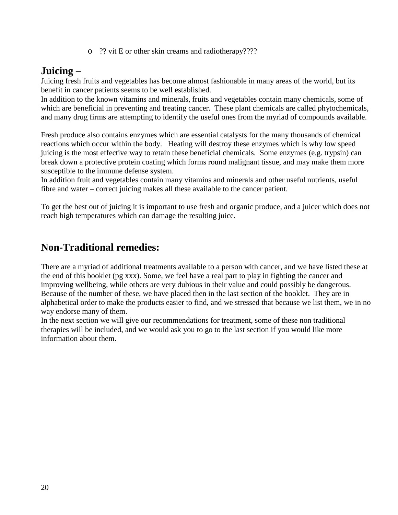o ?? vit E or other skin creams and radiotherapy????

## **Juicing –**

Juicing fresh fruits and vegetables has become almost fashionable in many areas of the world, but its benefit in cancer patients seems to be well established.

In addition to the known vitamins and minerals, fruits and vegetables contain many chemicals, some of which are beneficial in preventing and treating cancer. These plant chemicals are called phytochemicals, and many drug firms are attempting to identify the useful ones from the myriad of compounds available.

Fresh produce also contains enzymes which are essential catalysts for the many thousands of chemical reactions which occur within the body. Heating will destroy these enzymes which is why low speed juicing is the most effective way to retain these beneficial chemicals. Some enzymes (e.g. trypsin) can break down a protective protein coating which forms round malignant tissue, and may make them more susceptible to the immune defense system.

In addition fruit and vegetables contain many vitamins and minerals and other useful nutrients, useful fibre and water – correct juicing makes all these available to the cancer patient.

To get the best out of juicing it is important to use fresh and organic produce, and a juicer which does not reach high temperatures which can damage the resulting juice.

## **Non-Traditional remedies:**

There are a myriad of additional treatments available to a person with cancer, and we have listed these at the end of this booklet (pg xxx). Some, we feel have a real part to play in fighting the cancer and improving wellbeing, while others are very dubious in their value and could possibly be dangerous. Because of the number of these, we have placed then in the last section of the booklet. They are in alphabetical order to make the products easier to find, and we stressed that because we list them, we in no way endorse many of them.

In the next section we will give our recommendations for treatment, some of these non traditional therapies will be included, and we would ask you to go to the last section if you would like more information about them.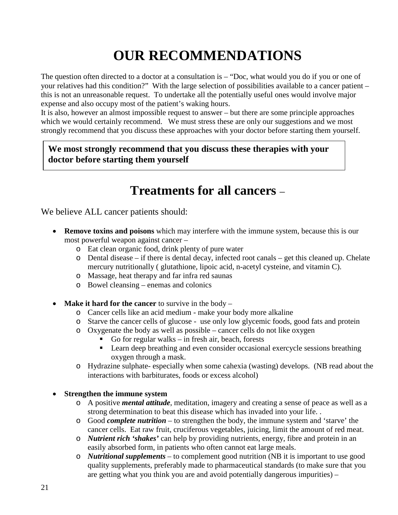# **OUR RECOMMENDATIONS**

The question often directed to a doctor at a consultation is  $-$  "Doc, what would you do if you or one of your relatives had this condition?" With the large selection of possibilities available to a cancer patient – this is not an unreasonable request. To undertake all the potentially useful ones would involve major expense and also occupy most of the patient's waking hours.

It is also, however an almost impossible request to answer – but there are some principle approaches which we would certainly recommend. We must stress these are only our suggestions and we most strongly recommend that you discuss these approaches with your doctor before starting them yourself.

**We most strongly recommend that you discuss these therapies with your doctor before starting them yourself**

# **Treatments for all cancers** –

We believe ALL cancer patients should:

- **Remove toxins and poisons** which may interfere with the immune system, because this is our most powerful weapon against cancer –
	- o Eat clean organic food, drink plenty of pure water
	- o Dental disease if there is dental decay, infected root canals get this cleaned up. Chelate mercury nutritionally ( glutathione, lipoic acid, n-acetyl cysteine, and vitamin C).
	- o Massage, heat therapy and far infra red saunas
	- o Bowel cleansing enemas and colonics
- **Make it hard for the cancer** to survive in the body
	- o Cancer cells like an acid medium make your body more alkaline
	- o Starve the cancer cells of glucose use only low glycemic foods, good fats and protein
	- o Oxygenate the body as well as possible cancer cells do not like oxygen
		- Go for regular walks in fresh air, beach, forests
		- Learn deep breathing and even consider occasional exercycle sessions breathing oxygen through a mask.
	- o Hydrazine sulphate- especially when some cahexia (wasting) develops. (NB read about the interactions with barbiturates, foods or excess alcohol)

#### • **Strengthen the immune system**

- o A positive *mental attitude*, meditation, imagery and creating a sense of peace as well as a strong determination to beat this disease which has invaded into your life. .
- o Good *complete nutrition* to strengthen the body, the immune system and 'starve' the cancer cells. Eat raw fruit, cruciferous vegetables, juicing, limit the amount of red meat.
- o *Nutrient rich 'shakes'* can help by providing nutrients, energy, fibre and protein in an easily absorbed form, in patients who often cannot eat large meals.
- o *Nutritional supplements*  to complement good nutrition (NB it is important to use good quality supplements, preferably made to pharmaceutical standards (to make sure that you are getting what you think you are and avoid potentially dangerous impurities) –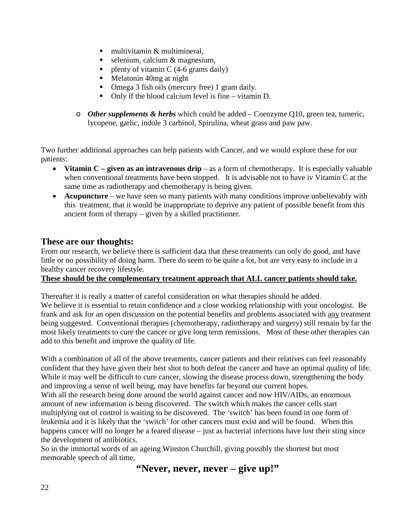- $\blacksquare$  multivitamin & multimineral.
- $\blacksquare$  selenium, calcium & magnesium,
- plenty of vitamin C (4-6 grams daily)
- Melatonin 40mg at night
- Omega 3 fish oils (mercury free) 1 gram daily.
- Only if the blood calcium level is fine vitamin D.
- o *Other supplements & herbs* which could be added Coenzyme Q10, green tea, tumeric, lycopene, garlic, indole 3 carbinol, Spirulina, wheat grass and paw paw.

Two further additional approaches can help patients with Cancer, and we would explore these for our patients:

- **Vitamin C – given as an intravenous drip** as a form of chemotherapy. It is especially valuable when conventional treatments have been stopped. It is advisable not to have iv Vitamin C at the same time as radiotherapy and chemotherapy is being given.
- **Acupuncture** we have seen so many patients with many conditions improve unbelievably with this treatment, that it would be inappropriate to deprive any patient of possible benefit from this ancient form of therapy – given by a skilled practitioner.

### **These are our thoughts:**

From our research, we believe there is sufficient data that these treatments can only do good, and have little or no possibility of doing harm. There do seem to be quite a lot, but are very easy to include in a healthy cancer recovery lifestyle.

#### **These should be the complementary treatment approach that ALL cancer patients should take.**

Thereafter it is really a matter of careful consideration on what therapies should be added. We believe it is essential to retain confidence and a close working relationship with your oncologist. Be frank and ask for an open discussion on the potential benefits and problems associated with any treatment being suggested. Conventional therapies (chemotherapy, radiotherapy and surgery) still remain by far the most likely treatments to cure the cancer or give long term remissions. Most of these other therapies can add to this benefit and improve the quality of life.

With a combination of all of the above treatments, cancer patients and their relatives can feel reasonably confident that they have given their best shot to both defeat the cancer and have an optimal quality of life. While it may well be difficult to cure cancer, slowing the disease process down, strengthening the body and improving a sense of well being, may have benefits far beyond our current hopes.

With all the research being done around the world against cancer and now HIV/AIDs, an enormous amount of new information is being discovered. The switch which makes the cancer cells start multiplying out of control is waiting to be discovered. The 'switch' has been found in one form of leukemia and it is likely that the 'switch' for other cancers must exist and will be found. When this happens cancer will no longer be a feared disease – just as bacterial infections have lost their sting since the development of antibiotics.

So in the immortal words of an ageing Winston Churchill, giving possibly the shortest but most memorable speech of all time,

**"Never, never, never – give up!"**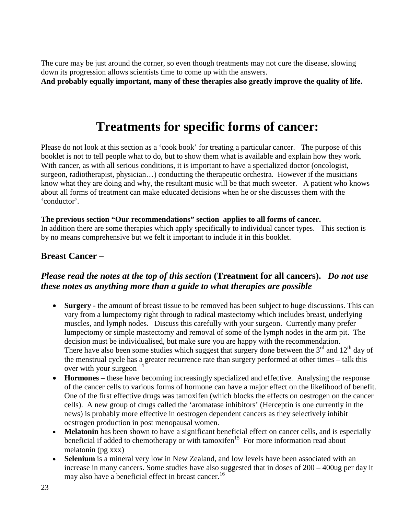The cure may be just around the corner, so even though treatments may not cure the disease, slowing down its progression allows scientists time to come up with the answers.

**And probably equally important, many of these therapies also greatly improve the quality of life.**

# **Treatments for specific forms of cancer:**

Please do not look at this section as a 'cook book' for treating a particular cancer. The purpose of this booklet is not to tell people what to do, but to show them what is available and explain how they work. With cancer, as with all serious conditions, it is important to have a specialized doctor (oncologist, surgeon, radiotherapist, physician…) conducting the therapeutic orchestra. However if the musicians know what they are doing and why, the resultant music will be that much sweeter. A patient who knows about all forms of treatment can make educated decisions when he or she discusses them with the 'conductor'.

#### **The previous section "Our recommendations" section applies to all forms of cancer.**

In addition there are some therapies which apply specifically to individual cancer types. This section is by no means comprehensive but we felt it important to include it in this booklet.

### **Breast Cancer –**

### *Please read the notes at the top of this section* **(Treatment for all cancers).** *Do not use these notes as anything more than a guide to what therapies are possible*

- **Surgery** the amount of breast tissue to be removed has been subject to huge discussions. This can vary from a lumpectomy right through to radical mastectomy which includes breast, underlying muscles, and lymph nodes. Discuss this carefully with your surgeon. Currently many prefer lumpectomy or simple mastectomy and removal of some of the lymph nodes in the arm pit. The decision must be individualised, but make sure you are happy with the recommendation. There have also been some studies which suggest that surgery done between the  $3<sup>rd</sup>$  and  $12<sup>th</sup>$  day of the menstrual cycle has a greater recurrence rate than surgery performed at other times – talk this over with your surgeon  $14<sup>2</sup>$
- **Hormones** these have becoming increasingly specialized and effective. Analysing the response of the cancer cells to various forms of hormone can have a major effect on the likelihood of benefit. One of the first effective drugs was tamoxifen (which blocks the effects on oestrogen on the cancer cells). A new group of drugs called the 'aromatase inhibitors' (Herceptin is one currently in the news) is probably more effective in oestrogen dependent cancers as they selectively inhibit oestrogen production in post menopausal women.
- **Melatonin** has been shown to have a significant beneficial effect on cancer cells, and is especially beneficial if added to chemotherapy or with tamoxifen<sup>15</sup> For more information read about melatonin (pg xxx)
- Selenium is a mineral very low in New Zealand, and low levels have been associated with an increase in many cancers. Some studies have also suggested that in doses of 200 – 400ug per day it may also have a beneficial effect in breast cancer.<sup>16</sup>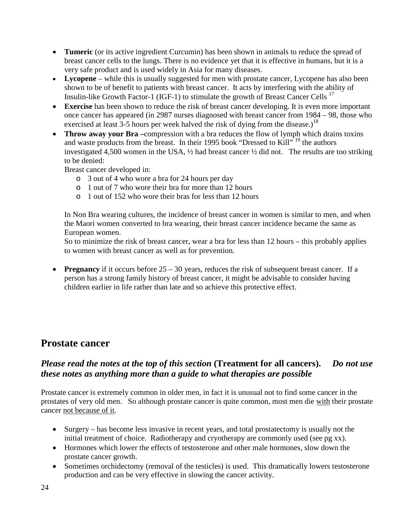- **Tumeric** (or its active ingredient Curcumin) has been shown in animals to reduce the spread of breast cancer cells to the lungs. There is no evidence yet that it is effective in humans, but it is a very safe product and is used widely in Asia for many diseases.
- **Lycopene** while this is usually suggested for men with prostate cancer, Lycopene has also been shown to be of benefit to patients with breast cancer. It acts by interfering with the ability of Insulin-like Growth Factor-1 (IGF-1) to stimulate the growth of Breast Cancer Cells<sup>17</sup>
- **Exercise** has been shown to reduce the risk of breast cancer developing. It is even more important once cancer has appeared (in 2987 nurses diagnosed with breast cancer from 1984 – 98, those who exercised at least 3-5 hours per week halved the risk of dying from the disease.)<sup>18</sup>
- **Throw away your Bra –**compression with a bra reduces the flow of lymph which drains toxins and waste products from the breast. In their 1995 book "Dressed to Kill"<sup>19</sup> the authors investigated 4,500 women in the USA, ½ had breast cancer ½ did not. The results are too striking to be denied:

Breast cancer developed in:

- o 3 out of 4 who wore a bra for 24 hours per day
- o 1 out of 7 who wore their bra for more than 12 hours
- o 1 out of 152 who wore their bras for less than 12 hours

In Non Bra wearing cultures, the incidence of breast cancer in women is similar to men, and when the Maori women converted to bra wearing, their breast cancer incidence became the same as European women.

So to minimize the risk of breast cancer, wear a bra for less than 12 hours – this probably applies to women with breast cancer as well as for prevention.

• **Pregnancy** if it occurs before  $25 - 30$  years, reduces the risk of subsequent breast cancer. If a person has a strong family history of breast cancer, it might be advisable to consider having children earlier in life rather than late and so achieve this protective effect.

## **Prostate cancer**

### *Please read the notes at the top of this section* **(Treatment for all cancers).** *Do not use these notes as anything more than a guide to what therapies are possible*

Prostate cancer is extremely common in older men, in fact it is unusual not to find some cancer in the prostates of very old men. So although prostate cancer is quite common, most men die with their prostate cancer not because of it.

- Surgery has become less invasive in recent years, and total prostatectomy is usually not the initial treatment of choice. Radiotherapy and cryotherapy are commonly used (see pg xx).
- Hormones which lower the effects of testosterone and other male hormones, slow down the prostate cancer growth.
- Sometimes orchidectomy (removal of the testicles) is used. This dramatically lowers testosterone production and can be very effective in slowing the cancer activity.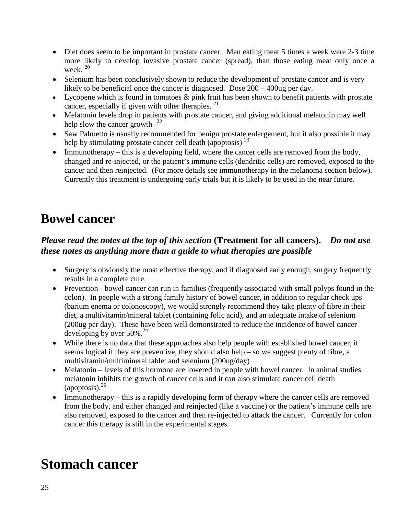- Diet does seem to be important in prostate cancer. Men eating meat 5 times a week were 2-3 time more likely to develop invasive prostate cancer (spread), than those eating meat only once a week. 20
- Selenium has been conclusively shown to reduce the development of prostate cancer and is very likely to be beneficial once the cancer is diagnosed. Dose  $200 - 400$ ug per day.
- Lycopene which is found in tomatoes & pink fruit has been shown to benefit patients with prostate cancer, especially if given with other therapies.  $21$
- Melatonin levels drop in patients with prostate cancer, and giving additional melatonin may well help slow the cancer growth  $\cdot^{22}$
- Saw Palmetto is usually recommended for benign prostate enlargement, but it also possible it may help by stimulating prostate cancer cell death (apoptosis)  $^{23}$
- Immunotherapy this is a developing field, where the cancer cells are removed from the body, changed and re-injected, or the patient's immune cells (dendritic cells) are removed, exposed to the cancer and then reinjected. (For more details see immunotherapy in the melanoma section below). Currently this treatment is undergoing early trials but it is likely to be used in the near future.

# **Bowel cancer**

### *Please read the notes at the top of this section* **(Treatment for all cancers).** *Do not use these notes as anything more than a guide to what therapies are possible*

- Surgery is obviously the most effective therapy, and if diagnosed early enough, surgery frequently results in a complete cure.
- Prevention bowel cancer can run in families (frequently associated with small polyps found in the colon). In people with a strong family history of bowel cancer, in addition to regular check ups (barium enema or colonoscopy), we would strongly recommend they take plenty of fibre in their diet, a multivitamin/mineral tablet (containing folic acid), and an adequate intake of selenium (200ug per day). These have been well demonstrated to reduce the incidence of bowel cancer developing by over  $50\%$ <sup>24</sup>
- While there is no data that these approaches also help people with established bowel cancer, it seems logical if they are preventive, they should also help – so we suggest plenty of fibre, a multivitamin/multimineral tablet and selenium (200ug/day)
- Melatonin levels of this hormone are lowered in people with bowel cancer. In animal studies melatonin inhibits the growth of cancer cells and it can also stimulate cancer cell death  $\left($ apoptosis).<sup>25</sup>
- Immunotherapy this is a rapidly developing form of therapy where the cancer cells are removed from the body, and either changed and reinjected (like a vaccine) or the patient's immune cells are also removed, exposed to the cancer and then re-injected to attack the cancer. Currently for colon cancer this therapy is still in the experimental stages.

# **Stomach cancer**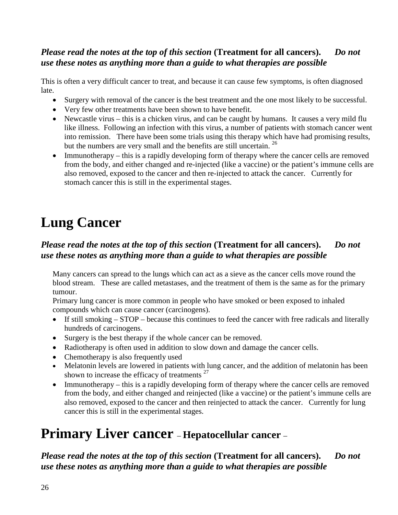### *Please read the notes at the top of this section* **(Treatment for all cancers).** *Do not use these notes as anything more than a guide to what therapies are possible*

This is often a very difficult cancer to treat, and because it can cause few symptoms, is often diagnosed late.

- Surgery with removal of the cancer is the best treatment and the one most likely to be successful.
- Very few other treatments have been shown to have benefit.
- Newcastle virus this is a chicken virus, and can be caught by humans. It causes a very mild flu like illness. Following an infection with this virus, a number of patients with stomach cancer went into remission. There have been some trials using this therapy which have had promising results, but the numbers are very small and the benefits are still uncertain. <sup>26</sup>
- Immunotherapy this is a rapidly developing form of therapy where the cancer cells are removed from the body, and either changed and re-injected (like a vaccine) or the patient's immune cells are also removed, exposed to the cancer and then re-injected to attack the cancer. Currently for stomach cancer this is still in the experimental stages.

# **Lung Cancer**

## *Please read the notes at the top of this section* **(Treatment for all cancers).** *Do not use these notes as anything more than a guide to what therapies are possible*

Many cancers can spread to the lungs which can act as a sieve as the cancer cells move round the blood stream. These are called metastases, and the treatment of them is the same as for the primary tumour.

Primary lung cancer is more common in people who have smoked or been exposed to inhaled compounds which can cause cancer (carcinogens).

- If still smoking STOP because this continues to feed the cancer with free radicals and literally hundreds of carcinogens.
- Surgery is the best therapy if the whole cancer can be removed.
- Radiotherapy is often used in addition to slow down and damage the cancer cells.
- Chemotherapy is also frequently used
- Melatonin levels are lowered in patients with lung cancer, and the addition of melatonin has been shown to increase the efficacy of treatments  $27$
- Immunotherapy this is a rapidly developing form of therapy where the cancer cells are removed from the body, and either changed and reinjected (like a vaccine) or the patient's immune cells are also removed, exposed to the cancer and then reinjected to attack the cancer. Currently for lung cancer this is still in the experimental stages.

## **Primary Liver cancer** – **Hepatocellular cancer** –

*Please read the notes at the top of this section* **(Treatment for all cancers).** *Do not use these notes as anything more than a guide to what therapies are possible*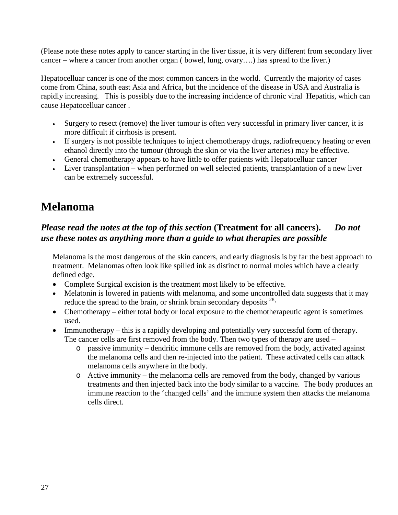(Please note these notes apply to cancer starting in the liver tissue, it is very different from secondary liver cancer – where a cancer from another organ ( bowel, lung, ovary….) has spread to the liver.)

Hepatocelluar cancer is one of the most common cancers in the world. Currently the majority of cases come from China, south east Asia and Africa, but the incidence of the disease in USA and Australia is rapidly increasing. This is possibly due to the increasing incidence of chronic viral Hepatitis, which can cause Hepatocelluar cancer .

- Surgery to resect (remove) the liver tumour is often very successful in primary liver cancer, it is more difficult if cirrhosis is present.
- If surgery is not possible techniques to inject chemotherapy drugs, radiofrequency heating or even ethanol directly into the tumour (through the skin or via the liver arteries) may be effective.
- General chemotherapy appears to have little to offer patients with Hepatocelluar cancer
- Liver transplantation when performed on well selected patients, transplantation of a new liver can be extremely successful.

## **Melanoma**

## *Please read the notes at the top of this section* **(Treatment for all cancers).** *Do not use these notes as anything more than a guide to what therapies are possible*

Melanoma is the most dangerous of the skin cancers, and early diagnosis is by far the best approach to treatment. Melanomas often look like spilled ink as distinct to normal moles which have a clearly defined edge.

- Complete Surgical excision is the treatment most likely to be effective.
- Melatonin is lowered in patients with melanoma, and some uncontrolled data suggests that it may reduce the spread to the brain, or shrink brain secondary deposits  $28$ .
- Chemotherapy either total body or local exposure to the chemotherapeutic agent is sometimes used.
- Immunotherapy this is a rapidly developing and potentially very successful form of therapy. The cancer cells are first removed from the body. Then two types of therapy are used –
	- o passive immunity dendritic immune cells are removed from the body, activated against the melanoma cells and then re-injected into the patient. These activated cells can attack melanoma cells anywhere in the body.
	- o Active immunity the melanoma cells are removed from the body, changed by various treatments and then injected back into the body similar to a vaccine. The body produces an immune reaction to the 'changed cells' and the immune system then attacks the melanoma cells direct.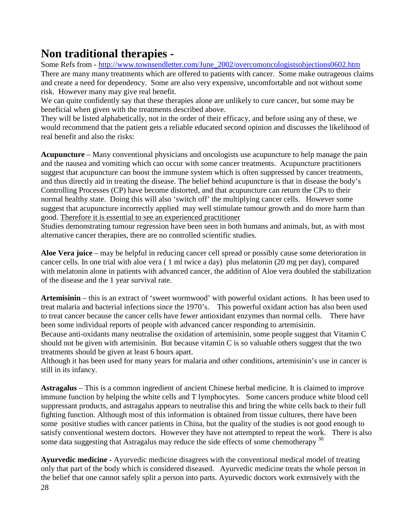## **Non traditional therapies -**

Some Refs from - [http://www.townsendletter.com/June\\_2002/overcomoncologistsobjections0602.htm](http://www.townsendletter.com/June_2002/overcomoncologistsobjections0602.htm) There are many many treatments which are offered to patients with cancer. Some make outrageous claims and create a need for dependency. Some are also very expensive, uncomfortable and not without some risk. However many may give real benefit.

We can quite confidently say that these therapies alone are unlikely to cure cancer, but some may be beneficial when given with the treatments described above.

They will be listed alphabetically, not in the order of their efficacy, and before using any of these, we would recommend that the patient gets a reliable educated second opinion and discusses the likelihood of real benefit and also the risks:

**Acupuncture** – Many conventional physicians and oncologists use acupuncture to help manage the pain and the nausea and vomiting which can occur with some cancer treatments. Acupuncture practitioners suggest that acupuncture can boost the immune system which is often suppressed by cancer treatments, and thus directly aid in treating the disease. The belief behind acupuncture is that in disease the body's Controlling Processes (CP) have become distorted, and that acupuncture can return the CPs to their normal healthy state. Doing this will also 'switch off' the multiplying cancer cells. However some suggest that acupuncture incorrectly applied may well stimulate tumour growth and do more harm than good. Therefore it is essential to see an experienced practitioner

Studies demonstrating tumour regression have been seen in both humans and animals, but, as with most alternative cancer therapies, there are no controlled scientific studies.

**Aloe Vera juice** – may be helpful in reducing cancer cell spread or possibly cause some deterioration in cancer cells. In one trial with aloe vera ( 1 ml twice a day) plus melatonin (20 mg per day), compared with melatonin alone in patients with advanced cancer, the addition of Aloe vera doubled the stabilization of the disease and the 1 year survival rate.

**Artemisinin** – this is an extract of 'sweet wormwood' with powerful oxidant actions. It has been used to treat malaria and bacterial infections since the 1970's. This powerful oxidant action has also been used to treat cancer because the cancer cells have fewer antioxidant enzymes than normal cells. There have been some individual reports of people with advanced cancer responding to artemisinin.

Because anti-oxidants many neutralise the oxidation of artemisinin, some people suggest that Vitamin C should not be given with artemisinin. But because vitamin C is so valuable others suggest that the two treatments should be given at least 6 hours apart.

Although it has been used for many years for malaria and other conditions, artemisinin's use in cancer is still in its infancy.

**Astragalus** – This is a common ingredient of ancient Chinese herbal medicine. It is claimed to improve immune function by helping the white cells and T lymphocytes. Some cancers produce white blood cell suppressant products, and astragalus appears to neutralise this and bring the white cells back to their full fighting function. Although most of this information is obtained from tissue cultures, there have been some positive studies with cancer patients in China, but the quality of the studies is not good enough to satisfy conventional western doctors. However they have not attempted to repeat the work. There is also some data suggesting that Astragalus may reduce the side effects of some chemotherapy  $30$ 

**Ayurvedic medicine -** Ayurvedic medicine disagrees with the conventional medical model of treating only that part of the body which is considered diseased. Ayurvedic medicine treats the whole person in the belief that one cannot safely split a person into parts. Ayurvedic doctors work extensively with the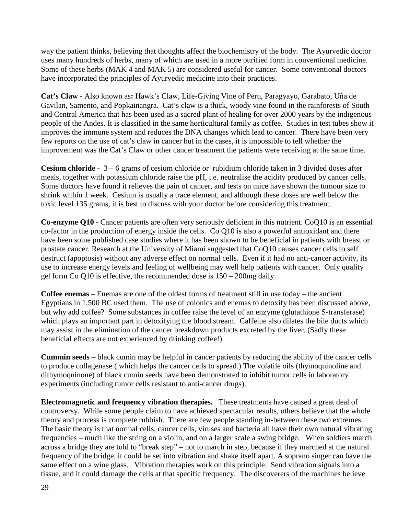way the patient thinks, believing that thoughts affect the biochemistry of the body. The Ayurvedic doctor uses many hundreds of herbs, many of which are used in a more purified form in conventional medicine. Some of these herbs (MAK 4 and MAK 5) are considered useful for cancer. Some conventional doctors have incorporated the principles of Ayurvedic medicine into their practices.

**Cat's Claw -** Also known as**:** Hawk's Claw, Life-Giving Vine of Peru, Paragyayo, Garabato, Uña de Gavilan, Samento, and Popkainangra. Cat's claw is a thick, woody vine found in the rainforests of South and Central America that has been used as a sacred plant of healing for over 2000 years by the indigenous people of the Andes. It is classified in the same horticultural family as coffee. Studies in test tubes show it improves the immune system and reduces the DNA changes which lead to cancer. There have been very few reports on the use of cat's claw in cancer but in the cases, it is impossible to tell whether the improvement was the Cat's Claw or other cancer treatment the patients were receiving at the same time.

**Cesium chloride -** 3 – 6 grams of cesium chloride or rubidium chloride taken in 3 divided doses after meals, together with potassium chloride raise the pH, i.e. neutralise the acidity produced by cancer cells. Some doctors have found it relieves the pain of cancer, and tests on mice have shown the tumour size to shrink within 1 week. Cesium is usually a trace element, and although these doses are well below the toxic level 135 grams, it is best to discuss with your doctor before considering this treatment.

**Co-enzyme Q10** - Cancer patients are often very seriously deficient in this nutrient. CoQ10 is an essential co-factor in the production of energy inside the cells. Co Q10 is also a powerful antioxidant and there have been some published case studies where it has been shown to be beneficial in patients with breast or prostate cancer. Research at the University of Miami suggested that CoQ10 causes cancer cells to self destruct (apoptosis) without any adverse effect on normal cells. Even if it had no anti-cancer activity, its use to increase energy levels and feeling of wellbeing may well help patients with cancer. Only quality gel form Co Q10 is effective, the recommended dose is 150 – 200mg daily.

**Coffee enemas** – Enemas are one of the oldest forms of treatment still in use today – the ancient Egyptians in 1,500 BC used them. The use of colonics and enemas to detoxify has been discussed above, but why add coffee? Some substances in coffee raise the level of an enzyme (glutathione S-transferase) which plays an important part in detoxifying the blood stream. Caffeine also dilates the bile ducts which may assist in the elimination of the cancer breakdown products excreted by the liver. (Sadly these beneficial effects are not experienced by drinking coffee!)

**Cummin seeds** – black cumin may be helpful in cancer patients by reducing the ability of the cancer cells to produce collagenase ( which helps the cancer cells to spread.) The volatile oils (thymoquinoline and dithymoquinone) of black cumin seeds have been demonstrated to inhibit tumor cells in laboratory experiments (including tumor cells resistant to anti-cancer drugs).

**Electromagnetic and frequency vibration therapies.** These treatments have caused a great deal of controversy. While some people claim to have achieved spectacular results, others believe that the whole theory and process is complete rubbish. There are few people standing in-between these two extremes. The basic theory is that normal cells, cancer cells, viruses and bacteria all have their own natural vibrating frequencies – much like the string on a violin, and on a larger scale a swing bridge. When soldiers march across a bridge they are told to "break step" – not to march in step, because if they marched at the natural frequency of the bridge, it could be set into vibration and shake itself apart. A soprano singer can have the same effect on a wine glass. Vibration therapies work on this principle. Send vibration signals into a tissue, and it could damage the cells at that specific frequency. The discoverers of the machines believe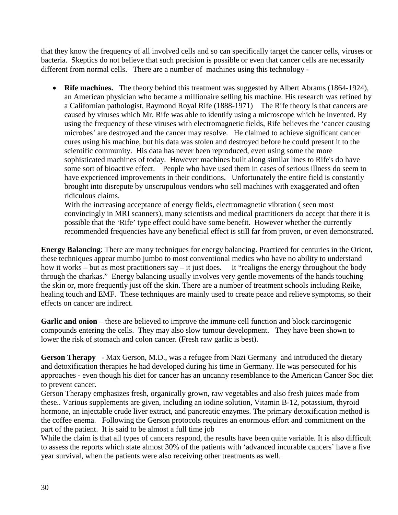that they know the frequency of all involved cells and so can specifically target the cancer cells, viruses or bacteria. Skeptics do not believe that such precision is possible or even that cancer cells are necessarily different from normal cells. There are a number of machines using this technology -

• **Rife machines.** The theory behind this treatment was suggested by Albert Abrams (1864-1924), an American physician who became a millionaire selling his machine. His research was refined by a Californian pathologist, Raymond Royal Rife (1888-1971) The Rife theory is that cancers are caused by viruses which Mr. Rife was able to identify using a microscope which he invented. By using the frequency of these viruses with electromagnetic fields, Rife believes the 'cancer causing microbes' are destroyed and the cancer may resolve. He claimed to achieve significant cancer cures using his machine, but his data was stolen and destroyed before he could present it to the scientific community. His data has never been reproduced, even using some the more sophisticated machines of today. However machines built along similar lines to Rife's do have some sort of bioactive effect. People who have used them in cases of serious illness do seem to have experienced improvements in their conditions. Unfortunately the entire field is constantly brought into disrepute by unscrupulous vendors who sell machines with exaggerated and often ridiculous claims.

With the increasing acceptance of energy fields, electromagnetic vibration ( seen most convincingly in MRI scanners), many scientists and medical practitioners do accept that there it is possible that the 'Rife' type effect could have some benefit. However whether the currently recommended frequencies have any beneficial effect is still far from proven, or even demonstrated.

**Energy Balancing**: There are many techniques for energy balancing. Practiced for centuries in the Orient, these techniques appear mumbo jumbo to most conventional medics who have no ability to understand how it works – but as most practitioners say – it just does. It "realigns the energy throughout the body through the charkas." Energy balancing usually involves very gentle movements of the hands touching the skin or, more frequently just off the skin. There are a number of treatment schools including Reike, healing touch and EMF. These techniques are mainly used to create peace and relieve symptoms, so their effects on cancer are indirect.

**Garlic and onion** – these are believed to improve the immune cell function and block carcinogenic compounds entering the cells. They may also slow tumour development. They have been shown to lower the risk of stomach and colon cancer. (Fresh raw garlic is best).

**Gerson Therapy** - Max Gerson, M.D., was a refugee from Nazi Germany and introduced the dietary and detoxification therapies he had developed during his time in Germany. He was persecuted for his approaches - even though his diet for cancer has an uncanny resemblance to the American Cancer Soc diet to prevent cancer.

Gerson Therapy emphasizes fresh, organically grown, raw vegetables and also fresh juices made from these.. Various supplements are given, including an [iodine](http://www.cancer.gov/dictionary/db_alpha.aspx?expand=i#iodine) solution, Vitamin B-12, [potassium,](http://www.cancer.gov/dictionary/db_alpha.aspx?expand=p#potassium) [thyroid](http://www.cancer.gov/dictionary/db_alpha.aspx?expand=t#thyroid%20hormone)  [hormone,](http://www.cancer.gov/dictionary/db_alpha.aspx?expand=t#thyroid%20hormone) an injectable crude [liver](http://www.cancer.gov/dictionary/db_alpha.aspx?expand=l#liver) extract, and [pancreatic enzymes.](http://www.cancer.gov/dictionary/db_alpha.aspx?expand=p#pancreatic%20enzymes) The primary detoxification method is the coffee enema. Following the Gerson protocols requires an enormous effort and commitment on the part of the patient. It is said to be almost a full time job

While the claim is that all types of cancers respond, the results have been quite variable. It is also difficult to assess the reports which state almost 30% of the patients with 'advanced incurable cancers' have a five year survival, when the patients were also receiving other treatments as well.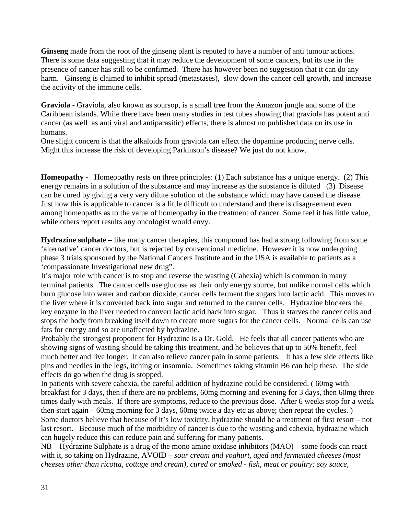**Ginseng** made from the root of the ginseng plant is reputed to have a number of anti tumour actions. There is some data suggesting that it may reduce the development of some cancers, but its use in the presence of cancer has still to be confirmed. There has however been no suggestion that it can do any harm. Ginseng is claimed to inhibit spread (metastases), slow down the cancer cell growth, and increase the activity of the immune cells.

**Graviola -** Graviola, also known as soursop, is a small tree from the Amazon jungle and some of the Caribbean islands. While there have been many studies in test tubes showing that graviola has potent anti cancer (as well as anti viral and antiparasitic) effects, there is almost no published data on its use in humans.

One slight concern is that the alkaloids from graviola can effect the dopamine producing nerve cells. Might this increase the risk of developing Parkinson's disease? We just do not know.

**Homeopathy -** Homeopathy rests on three principles: (1) Each substance has a unique energy. (2) This energy remains in a solution of the substance and may increase as the substance is diluted (3) Disease can be cured by giving a very very dilute solution of the substance which may have caused the disease. Just how this is applicable to cancer is a little difficult to understand and there is disagreement even among homeopaths as to the value of homeopathy in the treatment of cancer. Some feel it has little value, while others report results any oncologist would envy.

**Hydrazine sulphate** – like many cancer therapies, this compound has had a strong following from some 'alternative' cancer doctors, but is rejected by conventional medicine. However it is now undergoing phase 3 trials sponsored by the National Cancers Institute and in the USA is available to patients as a 'compassionate Investigational new drug".

It's major role with cancer is to stop and reverse the wasting (Cahexia) which is common in many terminal patients. The cancer cells use glucose as their only energy source, but unlike normal cells which burn glucose into water and carbon dioxide, cancer cells ferment the sugars into lactic acid. This moves to the liver where it is converted back into sugar and returned to the cancer cells. Hydrazine blockers the key enzyme in the liver needed to convert lactic acid back into sugar. Thus it starves the cancer cells and stops the body from breaking itself down to create more sugars for the cancer cells. Normal cells can use fats for energy and so are unaffected by hydrazine.

Probably the strongest proponent for Hydrazine is a Dr. Gold. He feels that all cancer patients who are showing signs of wasting should be taking this treatment, and he believes that up to 50% benefit, feel much better and live longer. It can also relieve cancer pain in some patients. It has a few side effects like pins and needles in the legs, itching or insomnia. Sometimes taking vitamin B6 can help these. The side effects do go when the drug is stopped.

In patients with severe cahexia, the careful addition of hydrazine could be considered. ( 60mg with breakfast for 3 days, then if there are no problems, 60mg morning and evening for 3 days, then 60mg three times daily with meals. If there are symptoms, reduce to the previous dose. After 6 weeks stop for a week then start again – 60mg morning for 3 days, 60mg twice a day etc as above; then repeat the cycles. ) Some doctors believe that because of it's low toxicity, hydrazine should be a treatment of first resort – not last resort. Because much of the morbidity of cancer is due to the wasting and cahexia, hydrazine which can hugely reduce this can reduce pain and suffering for many patients.

NB – Hydrazine Sulphate is a drug of the mono amine oxidase inhibitors (MAO) – some foods can react with it, so taking on Hydrazine, AVOID *– sour cream and yoghurt, aged and fermented cheeses (most cheeses other than ricotta, cottage and cream), cured or smoked - fish, meat or poultry; soy sauce,*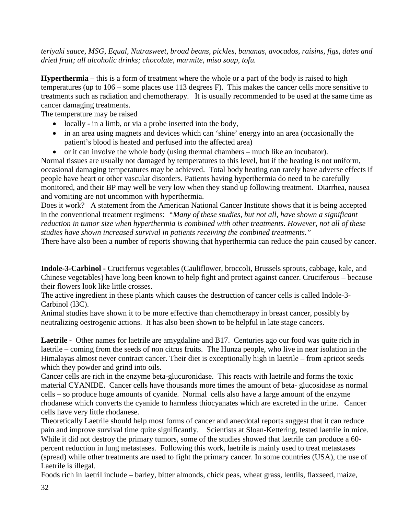*teriyaki sauce, MSG, Equal, Nutrasweet, broad beans, pickles, bananas, avocados, raisins, figs, dates and dried fruit; all alcoholic drinks; chocolate, marmite, miso soup, tofu.*

**Hyperthermia** – this is a form of treatment where the whole or a part of the body is raised to high temperatures (up to 106 – some places use 113 degrees F). This makes the cancer cells more sensitive to treatments such as radiation and chemotherapy. It is usually recommended to be used at the same time as cancer damaging treatments.

The temperature may be raised

- locally in a limb, or via a probe inserted into the body,
- in an area using magnets and devices which can 'shine' energy into an area (occasionally the patient's blood is heated and perfused into the affected area)
- or it can involve the whole body (using thermal chambers much like an incubator).

Normal tissues are usually not damaged by temperatures to this level, but if the heating is not uniform, occasional damaging temperatures may be achieved. Total body heating can rarely have adverse effects if people have heart or other vascular disorders. Patients having hyperthermia do need to be carefully monitored, and their BP may well be very low when they stand up following treatment. Diarrhea, nausea and vomiting are not uncommon with hyperthermia.

Does it work? A statement from the American National Cancer Institute shows that it is being accepted in the conventional treatment regimens: *"Many of these studies, but not all, have shown a significant reduction in tumor size when hyperthermia is combined with other treatments. However, not all of these studies have shown increased survival in patients receiving the combined treatments."*

There have also been a number of reports showing that hyperthermia can reduce the pain caused by cancer.

**Indole-3-Carbinol -** Cruciferous vegetables (Cauliflower, broccoli, Brussels sprouts, cabbage, kale, and Chinese vegetables) have long been known to help fight and protect against cancer. Cruciferous – because their flowers look like little crosses.

The active ingredient in these plants which causes the destruction of cancer cells is called Indole-3- Carbinol (I3C).

Animal studies have shown it to be more effective than chemotherapy in breast cancer, possibly by neutralizing oestrogenic actions. It has also been shown to be helpful in late stage cancers.

**Laetrile -** Other names for laetrile are amygdaline and B17. Centuries ago our food was quite rich in laetrile – coming from the seeds of non citrus fruits. The Hunza people, who live in near isolation in the Himalayas almost never contract cancer. Their diet is exceptionally high in laetrile – from apricot seeds which they powder and grind into oils.

Cancer cells are rich in the enzyme beta-glucuronidase. This reacts with laetrile and forms the toxic material CYANIDE. Cancer cells have thousands more times the amount of beta- glucosidase as normal cells – so produce huge amounts of cyanide. Normal cells also have a large amount of the enzyme rhodanese which converts the cyanide to harmless thiocyanates which are excreted in the urine. Cancer cells have very little rhodanese.

Theoretically Laetrile should help most forms of cancer and anecdotal reports suggest that it can reduce pain and improve survival time quite significantly. Scientists at Sloan-Kettering, tested laetrile in mice. While it did not destroy the primary tumors, some of the studies showed that laetrile can produce a 60 percent reduction in lung metastases. Following this work, laetrile is mainly used to treat metastases (spread) while other treatments are used to fight the primary cancer. In some countries (USA), the use of Laetrile is illegal.

Foods rich in laetril include – barley, bitter almonds, chick peas, wheat grass, lentils, flaxseed, maize,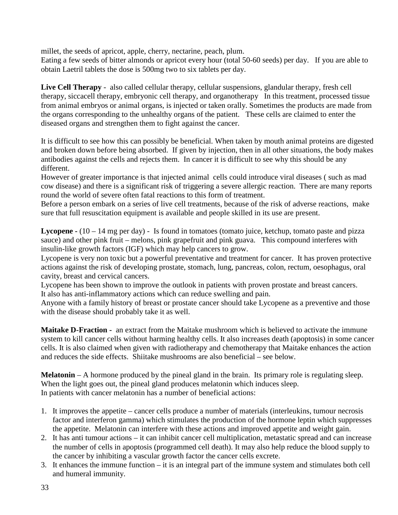millet, the seeds of apricot, apple, cherry, nectarine, peach, plum.

Eating a few seeds of bitter almonds or apricot every hour (total 50-60 seeds) per day. If you are able to obtain Laetril tablets the dose is 500mg two to six tablets per day.

**Live Cell Therapy** - also called cellular therapy, cellular suspensions, glandular therapy, fresh cell therapy, siccacell therapy, embryonic cell therapy, and organotherapy In this treatment, processed tissue from animal embryos or animal organs, is injected or taken orally. Sometimes the products are made from the organs corresponding to the unhealthy organs of the patient. These cells are claimed to enter the diseased organs and strengthen them to fight against the cancer.

It is difficult to see how this can possibly be beneficial. When taken by mouth animal proteins are digested and broken down before being absorbed. If given by injection, then in all other situations, the body makes antibodies against the cells and rejects them. In cancer it is difficult to see why this should be any different.

However of greater importance is that injected animal cells could introduce viral diseases ( such as mad cow disease) and there is a significant risk of triggering a severe allergic reaction. There are many reports round the world of severe often fatal reactions to this form of treatment.

Before a person embark on a series of live cell treatments, because of the risk of adverse reactions, make sure that full resuscitation equipment is available and people skilled in its use are present.

**Lycopene -** (10 – 14 mg per day) - Is found in tomatoes (tomato juice, ketchup, tomato paste and pizza sauce) and other pink fruit – melons, pink grapefruit and pink guava. This compound interferes with insulin-like growth factors (IGF) which may help cancers to grow.

Lycopene is very non toxic but a powerful preventative and treatment for cancer. It has proven protective actions against the risk of developing prostate, stomach, lung, pancreas, colon, rectum, oesophagus, oral cavity, breast and cervical cancers.

Lycopene has been shown to improve the outlook in patients with proven prostate and breast cancers. It also has anti-inflammatory actions which can reduce swelling and pain.

Anyone with a family history of breast or prostate cancer should take Lycopene as a preventive and those with the disease should probably take it as well.

**Maitake D-Fraction -** an extract from the Maitake mushroom which is believed to activate the immune system to kill cancer cells without harming healthy cells. It also increases death (apoptosis) in some cancer cells. It is also claimed when given with radiotherapy and chemotherapy that Maitake enhances the action and reduces the side effects. Shiitake mushrooms are also beneficial – see below.

**Melatonin** – A hormone produced by the pineal gland in the brain. Its primary role is regulating sleep. When the light goes out, the pineal gland produces melatonin which induces sleep. In patients with cancer melatonin has a number of beneficial actions:

- 1. It improves the appetite cancer cells produce a number of materials (interleukins, tumour necrosis factor and interferon gamma) which stimulates the production of the hormone leptin which suppresses the appetite. Melatonin can interfere with these actions and improved appetite and weight gain.
- 2. It has anti tumour actions it can inhibit cancer cell multiplication, metastatic spread and can increase the number of cells in apoptosis (programmed cell death). It may also help reduce the blood supply to the cancer by inhibiting a vascular growth factor the cancer cells excrete.
- 3. It enhances the immune function it is an integral part of the immune system and stimulates both cell and humeral immunity.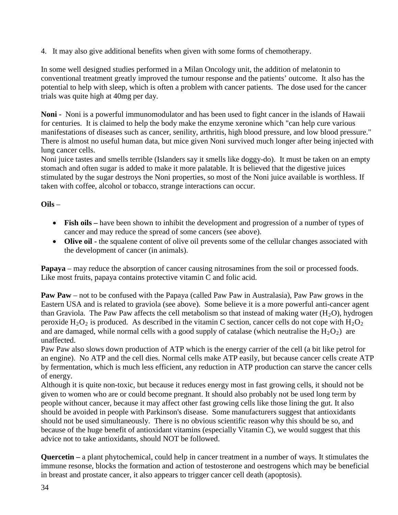4. It may also give additional benefits when given with some forms of chemotherapy.

In some well designed studies performed in a Milan Oncology unit, the addition of melatonin to conventional treatment greatly improved the tumour response and the patients' outcome. It also has the potential to help with sleep, which is often a problem with cancer patients. The dose used for the cancer trials was quite high at 40mg per day.

**Noni -** Noni is a powerful immunomodulator and has been used to fight cancer in the islands of Hawaii for centuries. It is claimed to help the body make the enzyme xeronine which "can help cure various manifestations of diseases such as cancer, senility, arthritis, high blood pressure, and low blood pressure." There is almost no useful human data, but mice given Noni survived much longer after being injected with lung cancer cells.

Noni juice tastes and smells terrible (Islanders say it smells like doggy-do). It must be taken on an empty stomach and often sugar is added to make it more palatable. It is believed that the digestive juices stimulated by the sugar destroys the Noni properties, so most of the Noni juice available is worthless. If taken with coffee, alcohol or tobacco, strange interactions can occur.

#### **Oils** –

- **Fish oils** have been shown to inhibit the development and progression of a number of types of cancer and may reduce the spread of some cancers (see above).
- **Olive oil** the squalene content of olive oil prevents some of the cellular changes associated with the development of cancer (in animals).

**Papaya** – may reduce the absorption of cancer causing nitrosamines from the soil or processed foods. Like most fruits, papaya contains protective vitamin C and folic acid.

**Paw Paw** – not to be confused with the Papaya (called Paw Paw in Australasia), Paw Paw grows in the Eastern USA and is related to graviola (see above). Some believe it is a more powerful anti-cancer agent than [Graviola.](http://www.mnwelldir.org/docs/cancer1/altthrpy2.htm#Graviola) The Paw Paw affects the cell metabolism so that instead of making water  $(H_2O)$ , hydrogen peroxide  $H_2O_2$  is produced. As described in the vitamin C section, cancer cells do not cope with  $H_2O_2$ and are damaged, while normal cells with a good supply of catalase (which neutralise the  $H_2O_2$ ) are unaffected.

Paw Paw also slows down production of ATP which is the energy carrier of the cell (a bit like petrol for an engine). No ATP and the cell dies. Normal cells make ATP easily, but because cancer cells create ATP by fermentation, which is much less efficient, any reduction in ATP production can starve the cancer cells of energy.

Although it is quite non-toxic, but because it reduces energy most in fast growing cells, it should not be given to women who are or could become pregnant. It should also probably not be used long term by people without cancer, because it may affect other fast growing cells like those lining the gut. It also should be avoided in people with Parkinson's disease. Some manufacturers suggest that antioxidants should not be used simultaneously. There is no obvious scientific reason why this should be so, and because of the huge benefit of antioxidant vitamins (especially Vitamin C), we would suggest that this advice not to take antioxidants, should NOT be followed.

**Quercetin –** a plant phytochemical, could help in cancer treatment in a number of ways. It stimulates the immune resonse, blocks the formation and action of testosterone and oestrogens which may be beneficial in breast and prostate cancer, it also appears to trigger cancer cell death (apoptosis).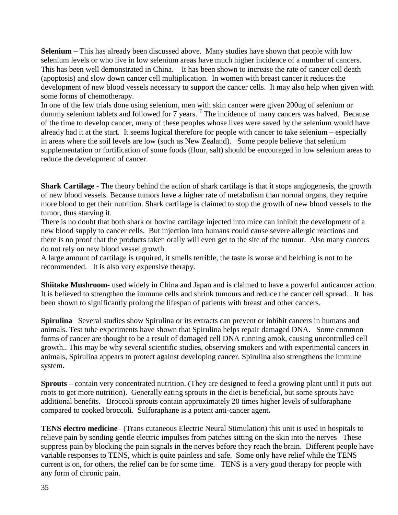**Selenium –** This has already been discussed above. Many studies have shown that people with low selenium levels or who live in low selenium areas have much higher incidence of a number of cancers. This has been well demonstrated in China. It has been shown to increase the rate of cancer cell death (apoptosis) and slow down cancer cell multiplication. In women with breast cancer it reduces the development of new blood vessels necessary to support the cancer cells. It may also help when given with some forms of chemotherapy.

In one of the few trials done using selenium, men with skin cancer were given 200ug of selenium or dummy selenium tablets and followed for 7 years.<sup>7</sup> The incidence of many cancers was halved. Because of the time to develop cancer, many of these peoples whose lives were saved by the selenium would have already had it at the start. It seems logical therefore for people with cancer to take selenium – especially in areas where the soil levels are low (such as New Zealand). Some people believe that selenium supplementation or fortification of some foods (flour, salt) should be encouraged in low selenium areas to reduce the development of cancer.

**Shark Cartilage** - The theory behind the action of shark cartilage is that it stops angiogenesis, the growth of new blood vessels. Because tumors have a higher rate of metabolism than normal organs, they require more blood to get their nutrition. Shark cartilage is claimed to stop the growth of new blood vessels to the tumor, thus starving it.

There is no doubt that both shark or bovine cartilage injected into mice can inhibit the development of a new blood supply to cancer cells. But injection into humans could cause severe allergic reactions and there is no proof that the products taken orally will even get to the site of the tumour. Also many cancers do not rely on new blood vessel growth.

A large amount of cartilage is required, it smells terrible, the taste is worse and belching is not to be recommended. It is also very expensive therapy.

**Shiitake Mushroom**- used widely in China and Japan and is claimed to have a powerful anticancer action. It is believed to strengthen the immune cells and shrink tumours and reduce the cancer cell spread. . It has been shown to significantly prolong the lifespan of patients with breast and other cancers.

**Spirulina** Several studies show Spirulina or its extracts can prevent or inhibit cancers in humans and animals. Test tube experiments have shown that Spirulina helps repair damaged DNA. Some common forms of cancer are thought to be a result of damaged cell DNA running amok, causing uncontrolled cell growth.. This may be why several scientific studies, observing smokers and with experimental cancers in animals, Spirulina appears to protect against developing cancer. Spirulina also strengthens the immune system.

**Sprouts** – contain very concentrated nutrition. (They are designed to feed a growing plant until it puts out roots to get more nutrition). Generally eating sprouts in the diet is beneficial, but some sprouts have additional benefits. Broccoli sprouts contain approximately 20 times higher levels of sulforaphane compared to cooked broccoli. Sulforaphane is a potent anti-cancer agent**.**

**TENS electro medicine**– (Trans cutaneous Electric Neural Stimulation) this unit is used in hospitals to relieve pain by sending gentle electric impulses from patches sitting on the skin into the nerves These suppress pain by blocking the pain signals in the nerves before they reach the brain. Different people have variable responses to TENS, which is quite painless and safe. Some only have relief while the TENS current is on, for others, the relief can be for some time. TENS is a very good therapy for people with any form of chronic pain.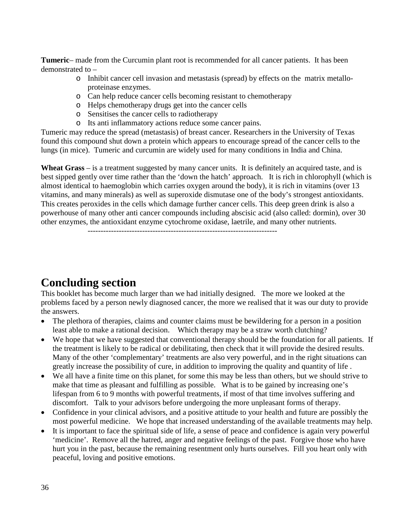**Tumeric**– made from the Curcumin plant root is recommended for all cancer patients. It has been demonstrated to –

- o Inhibit cancer cell invasion and metastasis (spread) by effects on the matrix metalloproteinase enzymes.
- o Can help reduce cancer cells becoming resistant to chemotherapy
- o Helps chemotherapy drugs get into the cancer cells
- o Sensitises the cancer cells to radiotherapy
- o Its anti inflammatory actions reduce some cancer pains.

Tumeric may reduce the spread (metastasis) of breast cancer. Researchers in the University of Texas found this compound shut down a protein which appears to encourage spread of the cancer cells to the lungs (in mice). Tumeric and curcumin are widely used for many conditions in India and China.

**Wheat Grass** – is a treatment suggested by many cancer units. It is definitely an acquired taste, and is best sipped gently over time rather than the 'down the hatch' approach. It is rich in chlorophyll (which is almost identical to haemoglobin which carries oxygen around the body), it is rich in vitamins (over 13 vitamins, and many minerals) as well as superoxide dismutase one of the body's strongest antioxidants. This creates peroxides in the cells which damage further cancer cells. This deep green drink is also a powerhouse of many other anti cancer compounds including abscisic acid (also called: dormin), over 30 other enzymes, the antioxidant enzyme cytochrome oxidase, laetrile, and many other nutrients.

-------------------------------------------------------------------------

## **Concluding section**

This booklet has become much larger than we had initially designed. The more we looked at the problems faced by a person newly diagnosed cancer, the more we realised that it was our duty to provide the answers.

- The plethora of therapies, claims and counter claims must be bewildering for a person in a position least able to make a rational decision. Which therapy may be a straw worth clutching?
- We hope that we have suggested that conventional therapy should be the foundation for all patients. If the treatment is likely to be radical or debilitating, then check that it will provide the desired results. Many of the other 'complementary' treatments are also very powerful, and in the right situations can greatly increase the possibility of cure, in addition to improving the quality and quantity of life .
- We all have a finite time on this planet, for some this may be less than others, but we should strive to make that time as pleasant and fulfilling as possible. What is to be gained by increasing one's lifespan from 6 to 9 months with powerful treatments, if most of that time involves suffering and discomfort. Talk to your advisors before undergoing the more unpleasant forms of therapy.
- Confidence in your clinical advisors, and a positive attitude to your health and future are possibly the most powerful medicine. We hope that increased understanding of the available treatments may help.
- It is important to face the spiritual side of life, a sense of peace and confidence is again very powerful 'medicine'. Remove all the hatred, anger and negative feelings of the past. Forgive those who have hurt you in the past, because the remaining resentment only hurts ourselves. Fill you heart only with peaceful, loving and positive emotions.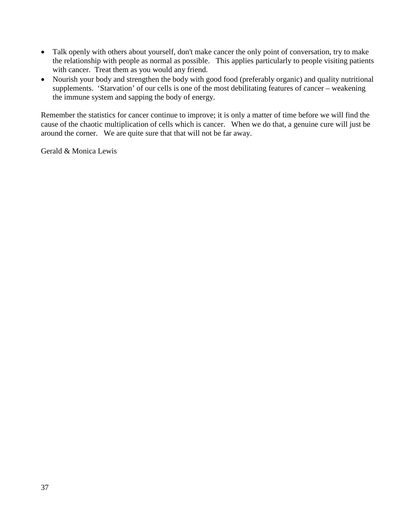- Talk openly with others about yourself, don't make cancer the only point of conversation, try to make the relationship with people as normal as possible. This applies particularly to people visiting patients with cancer. Treat them as you would any friend.
- Nourish your body and strengthen the body with good food (preferably organic) and quality nutritional supplements. 'Starvation' of our cells is one of the most debilitating features of cancer – weakening the immune system and sapping the body of energy.

Remember the statistics for cancer continue to improve; it is only a matter of time before we will find the cause of the chaotic multiplication of cells which is cancer. When we do that, a genuine cure will just be around the corner. We are quite sure that that will not be far away.

Gerald & Monica Lewis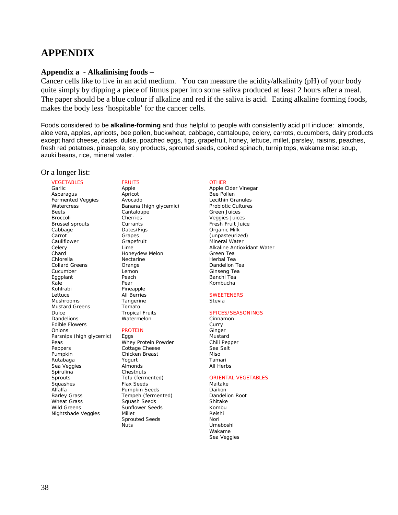## **APPENDIX**

#### **Appendix a** - **Alkalinising foods –**

Cancer cells like to live in an acid medium. You can measure the acidity/alkalinity (pH) of your body quite simply by dipping a piece of litmus paper into some saliva produced at least 2 hours after a meal. The paper should be a blue colour if alkaline and red if the saliva is acid. Eating alkaline forming foods, makes the body less 'hospitable' for the cancer cells.

Foods considered to be **alkaline-forming** and thus helpful to people with consistently acid pH include: almonds, aloe vera, apples, apricots, bee pollen, buckwheat, cabbage, cantaloupe, celery, carrots, cucumbers, dairy products except hard cheese, dates, dulse, poached eggs, figs, grapefruit, honey, lettuce, millet, parsley, raisins, peaches, fresh red potatoes, pineapple, soy products, sprouted seeds, cooked spinach, turnip tops, wakame miso soup, azuki beans, rice, mineral water.

#### Or a longer list:

#### VEGETABLES

Garlic Asparagus Fermented Veggies **Watercress** Beets Broccoli Brussel sprouts Cabbage Carrot Cauliflower Celery Chard Chlorella Collard Greens Cucumber Eggplant Kale Kohlrabi Lettuce Mushrooms Mustard Greens Dulce Dandelions Edible Flowers **Onions** Parsnips (high glycemic) Peas Peppers Pumpkin Rutabaga Sea Veggies **Spirulina Sprouts** Squashes Alfalfa Barley Grass Wheat Grass Wild Greens Nightshade Veggies

#### FRUITS

Apple Apricot Avocado Banana (high glycemic) Cantaloupe Cherries **Currants** Dates/Figs Grapes Grapefruit Lime Honeydew Melon **Nectarine** Orange Lemon Peach Pear Pineapple All Berries Tangerine Tomato Tropical Fruits Watermelon

#### PROTEIN

Eggs Whey Protein Powder Cottage Cheese Chicken Breast Yogurt Almonds Chestnuts Tofu (fermented) Flax Seeds Pumpkin Seeds Tempeh (fermented) Squash Seeds Sunflower Seeds Millet Sprouted Seeds Nuts

#### **OTHER**

Apple Cider Vinegar Bee Pollen Lecithin Granules Probiotic Cultures Green Juices Veggies Juices Fresh Fruit Juice Organic Milk (unpasteurized) Mineral Water Alkaline Antioxidant Water Green Tea Herbal Tea Dandelion Tea Ginseng Tea Banchi Tea Kombucha

#### **SWEETENERS**

Stevia

#### SPICES/SEASONINGS

Cinnamon Curry Ginger Mustard Chili Pepper Sea Salt Miso Tamari All Herbs

#### ORIENTAL VEGETABLES

Maitake Daikon Dandelion Root Shitake Kombu Reishi Nori Umeboshi Wakame Sea Veggies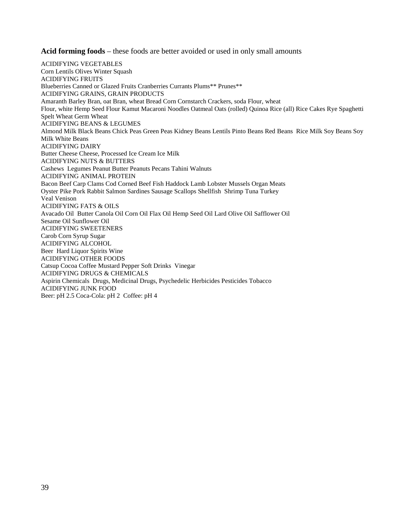**Acid forming foods** – these foods are better avoided or used in only small amounts

ACIDIFYING VEGETABLES Corn Lentils Olives Winter Squash ACIDIFYING FRUITS Blueberries Canned or Glazed Fruits Cranberries Currants Plums\*\* Prunes\*\* ACIDIFYING GRAINS, GRAIN PRODUCTS Amaranth Barley Bran, oat Bran, wheat Bread Corn Cornstarch Crackers, soda Flour, wheat Flour, white Hemp Seed Flour Kamut Macaroni Noodles Oatmeal Oats (rolled) Quinoa Rice (all) Rice Cakes Rye Spaghetti Spelt Wheat Germ Wheat ACIDIFYING BEANS & LEGUMES Almond Milk Black Beans Chick Peas Green Peas Kidney Beans Lentils Pinto Beans Red Beans Rice Milk Soy Beans Soy Milk White Beans ACIDIFYING DAIRY Butter Cheese Cheese, Processed Ice Cream Ice Milk ACIDIFYING NUTS & BUTTERS Cashews Legumes Peanut Butter Peanuts Pecans Tahini Walnuts ACIDIFYING ANIMAL PROTEIN Bacon Beef Carp Clams Cod Corned Beef Fish Haddock Lamb Lobster Mussels Organ Meats Oyster Pike Pork Rabbit Salmon Sardines Sausage Scallops Shellfish Shrimp Tuna Turkey Veal Venison ACIDIFYING FATS & OILS Avacado Oil Butter Canola Oil Corn Oil Flax Oil Hemp Seed Oil Lard Olive Oil Safflower Oil Sesame Oil Sunflower Oil ACIDIFYING SWEETENERS Carob Corn Syrup Sugar ACIDIFYING ALCOHOL Beer Hard Liquor Spirits Wine ACIDIFYING OTHER FOODS Catsup Cocoa Coffee Mustard Pepper Soft Drinks Vinegar ACIDIFYING DRUGS & CHEMICALS Aspirin Chemicals Drugs, Medicinal Drugs, Psychedelic Herbicides Pesticides Tobacco ACIDIFYING JUNK FOOD Beer: pH 2.5 Coca-Cola: pH 2 Coffee: pH 4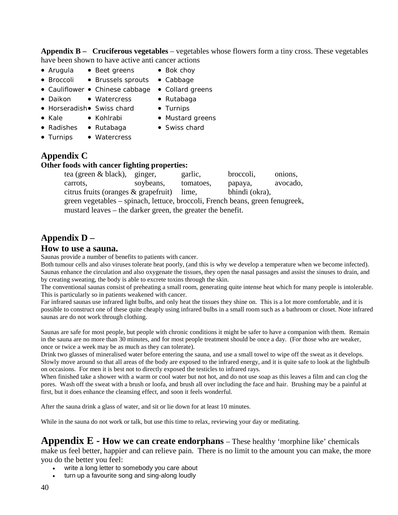**Appendix B – Cruciferous vegetables** – vegetables whose flowers form a tiny cross. These vegetables have been shown to have active anti cancer actions

- Arugula Beet greens Bok choy
	-
- Broccoli Brussels sprouts Cabbage
- Cauliflower Chinese cabbage Collard greens
- Daikon Watercress Rutabaga
- 
- Horseradish• Swiss chard Turnips
	-
- Kale Kohlrabi Mustard greens
- Radishes Rutabaga Swiss chard
- 
- Turnips Watercress

### **Appendix C**

#### **Other foods with cancer fighting properties:**

tea (green & black), ginger, garlic, broccoli, onions, carrots, soybeans, tomatoes, papaya, avocado, citrus fruits (oranges & grapefruit) lime, bhindi (okra), green vegetables – spinach, lettuce, broccoli, French beans, green fenugreek, mustard leaves – the darker green, the greater the benefit.

## **Appendix D –**

#### **How to use a sauna.**

Saunas provide a number of benefits to patients with cancer.

Both tumour cells and also viruses tolerate heat poorly, (and this is why we develop a temperature when we become infected). Saunas enhance the circulation and also oxygenate the tissues, they open the nasal passages and assist the sinuses to drain, and by creating sweating, the body is able to excrete toxins through the skin.

The conventional saunas consist of preheating a small room, generating quite intense heat which for many people is intolerable. This is particularly so in patients weakened with cancer.

Far infrared saunas use infrared light bulbs, and only heat the tissues they shine on. This is a lot more comfortable, and it is possible to construct one of these quite cheaply using infrared bulbs in a small room such as a bathroom or closet. Note infrared saunas are do not work through clothing.

Saunas are safe for most people, but people with chronic conditions it might be safer to have a companion with them. Remain in the sauna are no more than 30 minutes, and for most people treatment should be once a day. (For those who are weaker, once or twice a week may be as much as they can tolerate).

Drink two glasses of mineralised water before entering the sauna, and use a small towel to wipe off the sweat as it develops. Slowly move around so that all areas of the body are exposed to the infrared energy, and it is quite safe to look at the lightbulb on occasions. For men it is best not to directly exposed the testicles to infrared rays.

When finished take a shower with a warm or cool water but not hot, and do not use soap as this leaves a film and can clog the pores. Wash off the sweat with a brush or loofa, and brush all over including the face and hair. Brushing may be a painful at first, but it does enhance the cleansing effect, and soon it feels wonderful.

After the sauna drink a glass of water, and sit or lie down for at least 10 minutes.

While in the sauna do not work or talk, but use this time to relax, reviewing your day or meditating.

**Appendix E - How we can create endorphans** – These healthy 'morphine like' chemicals make us feel better, happier and can relieve pain. There is no limit to the amount you can make, the more you do the better you feel:

- write a long letter to somebody you care about
- turn up a favourite song and sing-along loudly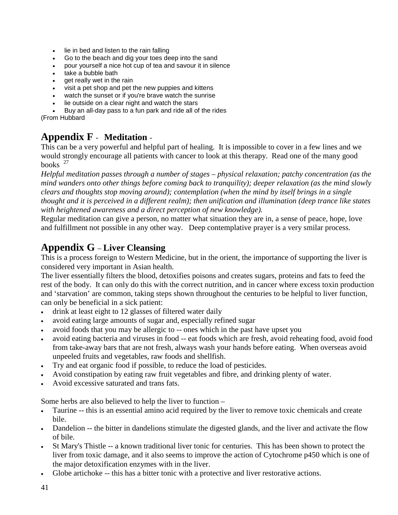- lie in bed and listen to the rain falling
- Go to the beach and dig your toes deep into the sand
- pour yourself a nice hot cup of tea and savour it in silence
- take a bubble bath
- get really wet in the rain
- visit a pet shop and pet the new puppies and kittens
- watch the sunset or if you're brave watch the sunrise
- lie outside on a clear night and watch the stars

• Buy an all-day pass to a fun park and ride all of the rides (From Hubbard

## **Appendix F** - **Meditation** -

This can be a very powerful and helpful part of healing. It is impossible to cover in a few lines and we would strongly encourage all patients with cancer to look at this therapy. Read one of the many good books  $^{27}$ 

*Helpful meditation passes through a number of stages – physical relaxation; patchy concentration (as the mind wanders onto other things before coming back to tranquility); deeper relaxation (as the mind slowly clears and thoughts stop moving around); contemplation (when the mind by itself brings in a single thought and it is perceived in a different realm); then unification and illumination (deep trance like states with heightened awareness and a direct perception of new knowledge).*

Regular meditation can give a person, no matter what situation they are in, a sense of peace, hope, love and fulfillment not possible in any other way. Deep contemplative prayer is a very smilar process.

## **Appendix G** – **Liver Cleansing**

This is a process foreign to Western Medicine, but in the orient, the importance of supporting the liver is considered very important in Asian health.

The liver essentially filters the blood, detoxifies poisons and creates sugars, proteins and fats to feed the rest of the body. It can only do this with the correct nutrition, and in cancer where excess toxin production and 'starvation' are common, taking steps shown throughout the centuries to be helpful to liver function, can only be beneficial in a sick patient:

- drink at least eight to 12 glasses of filtered water daily
- avoid eating large amounts of sugar and, especially refined sugar
- avoid foods that you may be allergic to -- ones which in the past have upset you
- avoid eating bacteria and viruses in food -- eat foods which are fresh, avoid reheating food, avoid food from take-away bars that are not fresh, always wash your hands before eating. When overseas avoid unpeeled fruits and vegetables, raw foods and shellfish.
- Try and eat organic food if possible, to reduce the load of pesticides.
- Avoid constipation by eating raw fruit vegetables and fibre, and drinking plenty of water.
- Avoid excessive saturated and trans fats.

Some herbs are also believed to help the liver to function –

- Taurine -- this is an essential amino acid required by the liver to remove toxic chemicals and create bile.
- Dandelion -- the bitter in dandelions stimulate the digested glands, and the liver and activate the flow of bile.
- St Mary's Thistle -- a known traditional liver tonic for centuries. This has been shown to protect the liver from toxic damage, and it also seems to improve the action of Cytochrome p450 which is one of the major detoxification enzymes with in the liver.
- Globe artichoke -- this has a bitter tonic with a protective and liver restorative actions.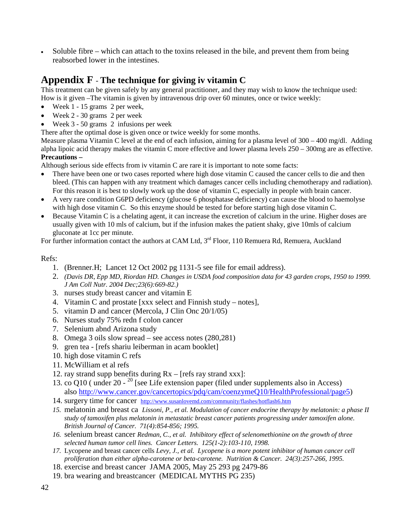• Soluble fibre – which can attach to the toxins released in the bile, and prevent them from being reabsorbed lower in the intestines.

## **Appendix F** - **The technique for giving iv vitamin C**

This treatment can be given safely by any general practitioner, and they may wish to know the technique used: How is it given –The vitamin is given by intravenous drip over 60 minutes, once or twice weekly:

- Week 1 15 grams 2 per week,
- Week 2 30 grams 2 per week
- Week 3 50 grams 2 infusions per week

There after the optimal dose is given once or twice weekly for some months.

Measure plasma Vitamin C level at the end of each infusion, aiming for a plasma level of  $300 - 400$  mg/dl. Adding alpha lipoic acid therapy makes the vitamin C more effective and lower plasma levels  $250 - 300$ mg are as effective. **Precautions –**

Although serious side effects from iv vitamin C are rare it is important to note some facts:

- There have been one or two cases reported where high dose vitamin C caused the cancer cells to die and then bleed. (This can happen with any treatment which damages cancer cells including chemotherapy and radiation). For this reason it is best to slowly work up the dose of vitamin C, especially in people with brain cancer.
- A very rare condition G6PD deficiency (glucose 6 phosphatase deficiency) can cause the blood to haemolyse with high dose vitamin C. So this enzyme should be tested for before starting high dose vitamin C.
- Because Vitamin C is a chelating agent, it can increase the excretion of calcium in the urine. Higher doses are usually given with 10 mls of calcium, but if the infusion makes the patient shaky, give 10mls of calcium gluconate at 1cc per minute.

For further information contact the authors at CAM Ltd, 3<sup>rd</sup> Floor, 110 Remuera Rd, Remuera, Auckland

#### Refs:

- 1. (Brenner.H; Lancet 12 Oct 2002 pg 1131-5 see file for email address).
- 2. *(Davis DR, Epp MD, Riordan HD. Changes in USDA food composition data for 43 garden crops, 1950 to 1999. J Am Coll Nutr. 2004 Dec;23(6):669-82.)*
- 3. nurses study breast cancer and vitamin E
- 4. Vitamin C and prostate [xxx select and Finnish study notes],
- 5. vitamin D and cancer (Mercola, J Clin Onc 20/1/05)
- 6. Nurses study 75% redn f colon cancer
- 7. Selenium abnd Arizona study
- 8. Omega 3 oils slow spread see access notes (280,281)
- 9. gren tea [refs shariu leiberman in acam booklet]
- 10. high dose vitamin C refs
- 11. McWilliam et al refs
- 12. ray strand supp benefits during Rx [refs ray strand xxx]:
- 13. co Q10 ( under 20  $^{20}$  [see Life extension paper (filed under supplements also in Access) also [http://www.cancer.gov/cancertopics/pdq/cam/coenzymeQ10/HealthProfessional/page5\)](http://www.cancer.gov/cancertopics/pdq/cam/coenzymeQ10/HealthProfessional/page5)
- 14. surgery time for cancer <http://www.susanlovemd.com/community/flashes/hotflash6.htm>
- *15.* melatonin and breast ca *Lissoni, P., et al. Modulation of cancer endocrine therapy by melatonin: a phase II study of tamoxifen plus melatonin in metastatic breast cancer patients progressing under tamoxifen alone. British Journal of Cancer. 71(4):854-856; 1995.*
- *16.* selenium breast cancer *Redman, C., et al. Inhibitory effect of selenomethionine on the growth of three selected human tumor cell lines. Cancer Letters. 125(1-2):103-110, 1998.*
- *17.* Lycopene and breast cancer cells *Levy, J., et al. Lycopene is a more potent inhibitor of human cancer cell proliferation than either alpha-carotene or beta-carotene. Nutrition & Cancer. 24(3):257-266, 1995.*
- 18. exercise and breast cancer JAMA 2005, May 25 293 pg 2479-86
- 19. bra wearing and breastcancer (MEDICAL MYTHS PG 235)